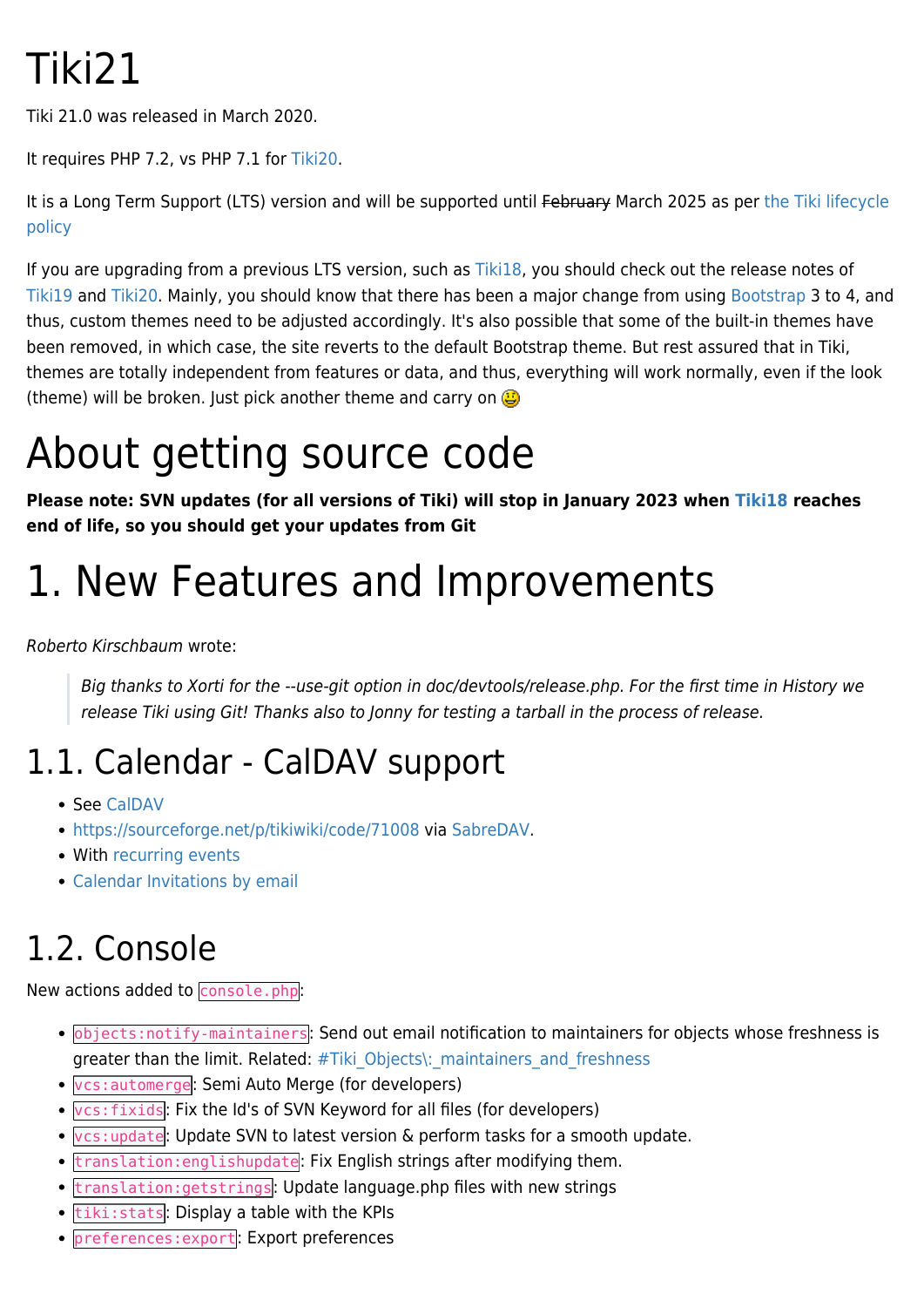# Tiki21

Tiki 21.0 was released in March 2020.

It requires PHP 7.2, vs PHP 7.1 for [Tiki20.](https://doc.tiki.org/Tiki20)

It is a Long Term Support (LTS) version and will be supported until February March 2025 as per [the Tiki lifecycle](http://tiki.org/Versions) [policy](http://tiki.org/Versions)

If you are upgrading from a previous LTS version, such as [Tiki18](https://doc.tiki.org/Tiki18), you should check out the release notes of [Tiki19](https://doc.tiki.org/Tiki19) and [Tiki20.](https://doc.tiki.org/Tiki20) Mainly, you should know that there has been a major change from using [Bootstrap](https://doc.tiki.org/Bootstrap) 3 to 4, and thus, custom themes need to be adjusted accordingly. It's also possible that some of the built-in themes have been removed, in which case, the site reverts to the default Bootstrap theme. But rest assured that in Tiki, themes are totally independent from features or data, and thus, everything will work normally, even if the look (theme) will be broken. Just pick another theme and carry on  $\bigcirc$ 

# About getting source code

**Please note: SVN updates (for all versions of Tiki) will stop in January 2023 when [Tiki18](https://doc.tiki.org/Tiki18) reaches end of life, so you should get your updates from Git**

## 1. New Features and Improvements

Roberto Kirschbaum wrote:

Big thanks to Xorti for the --use-git option in doc/devtools/release.php. For the first time in History we release Tiki using Git! Thanks also to Jonny for testing a tarball in the process of release.

#### 1.1. Calendar - CalDAV support

- See [CalDAV](https://doc.tiki.org/CalDAV)
- <https://sourceforge.net/p/tikiwiki/code/71008> via [SabreDAV](http://dev.tiki.org/SabreDAV).
- With [recurring events](https://sourceforge.net/p/tikiwiki/code/71622/)
- [Calendar Invitations by email](https://doc.tiki.org/Calendar-Invitations-by-email)

#### 1.2. Console

New actions added to console.php:

- objects:notify-maintainers: Send out email notification to maintainers for objects whose freshness is greater than the limit. Related: #Tiki\_Objects\: maintainers and freshness
- vcs:automerge: Semi Auto Merge (for developers)
- vcs:fixids: Fix the Id's of SVN Keyword for all files (for developers)
- vcs:update: Update SVN to latest version & perform tasks for a smooth update.
- translation: englishupdate: Fix English strings after modifying them.
- translation:getstrings: Update language.php files with new strings
- tiki: stats: Display a table with the KPIs
- preferences: export: Export preferences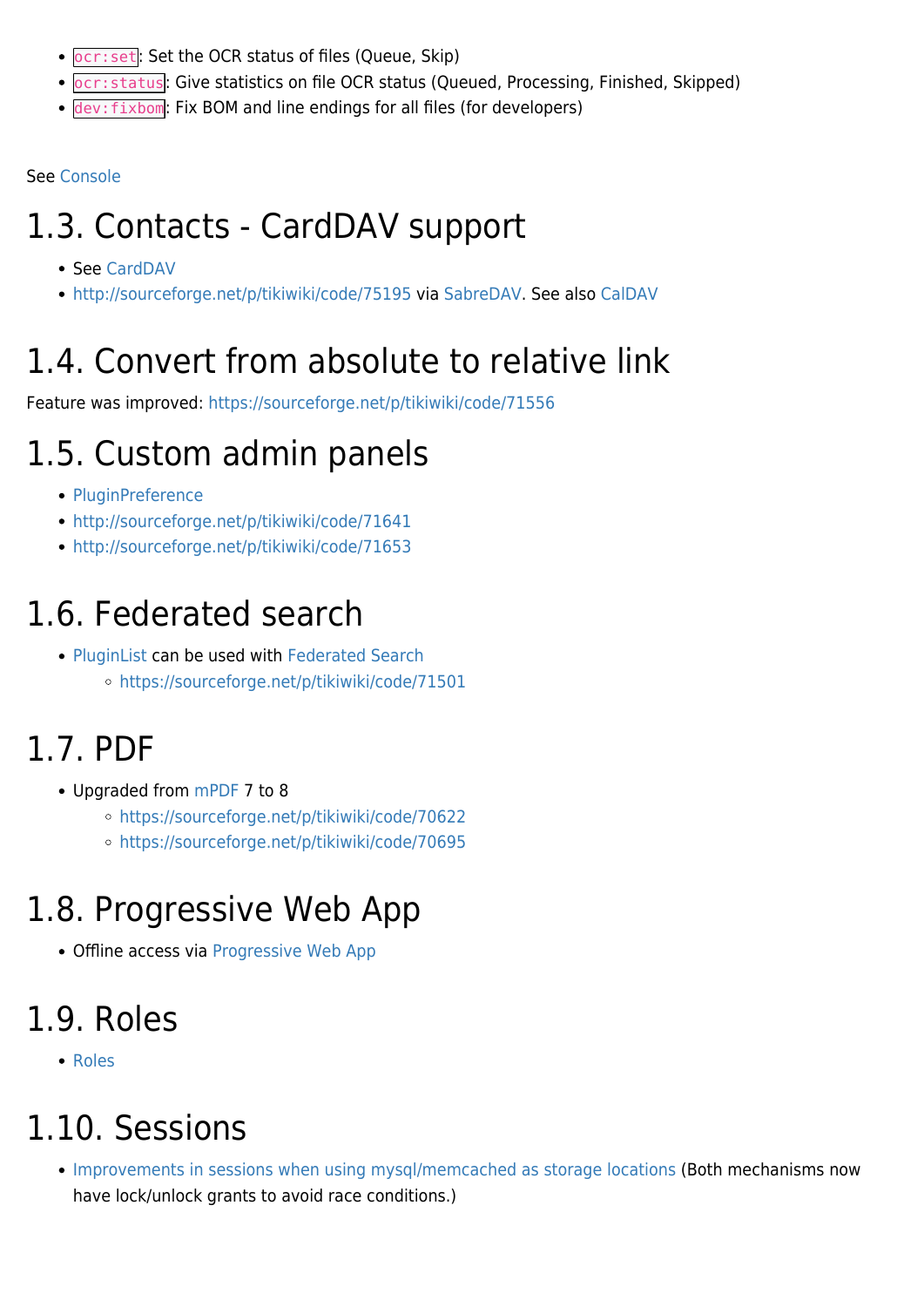- **pcr:set**: Set the OCR status of files (Queue, Skip)
- ocr:status: Give statistics on file OCR status (Queued, Processing, Finished, Skipped)
- dev:fixbom: Fix BOM and line endings for all files (for developers)

See [Console](https://doc.tiki.org/Console)

#### 1.3. Contacts - CardDAV support

- See [CardDAV](https://doc.tiki.org/CardDAV)
- <http://sourceforge.net/p/tikiwiki/code/75195> via [SabreDAV](http://dev.tiki.org/SabreDAV). See also [CalDAV](http://dev.tiki.org/CalDAV)

### 1.4. Convert from absolute to relative link

Feature was improved:<https://sourceforge.net/p/tikiwiki/code/71556>

#### 1.5. Custom admin panels

- [PluginPreference](https://doc.tiki.org/PluginPreference)
- <http://sourceforge.net/p/tikiwiki/code/71641>
- <http://sourceforge.net/p/tikiwiki/code/71653>

#### 1.6. Federated search

• [PluginList](https://doc.tiki.org/PluginList) can be used with [Federated Search](https://doc.tiki.org/Federated-Search) <https://sourceforge.net/p/tikiwiki/code/71501>

#### 1.7. PDF

- Upgraded from [mPDF](https://doc.tiki.org/mPDF) 7 to 8
	- <https://sourceforge.net/p/tikiwiki/code/70622>
	- <https://sourceforge.net/p/tikiwiki/code/70695>

#### 1.8. Progressive Web App

Offline access via [Progressive Web App](https://doc.tiki.org/Progressive-Web-App)

#### 1.9. Roles

• [Roles](https://doc.tiki.org/Roles)

#### 1.10. Sessions

[Improvements in sessions when using mysql/memcached as storage locations](https://sourceforge.net/p/tikiwiki/code/71475) (Both mechanisms now have lock/unlock grants to avoid race conditions.)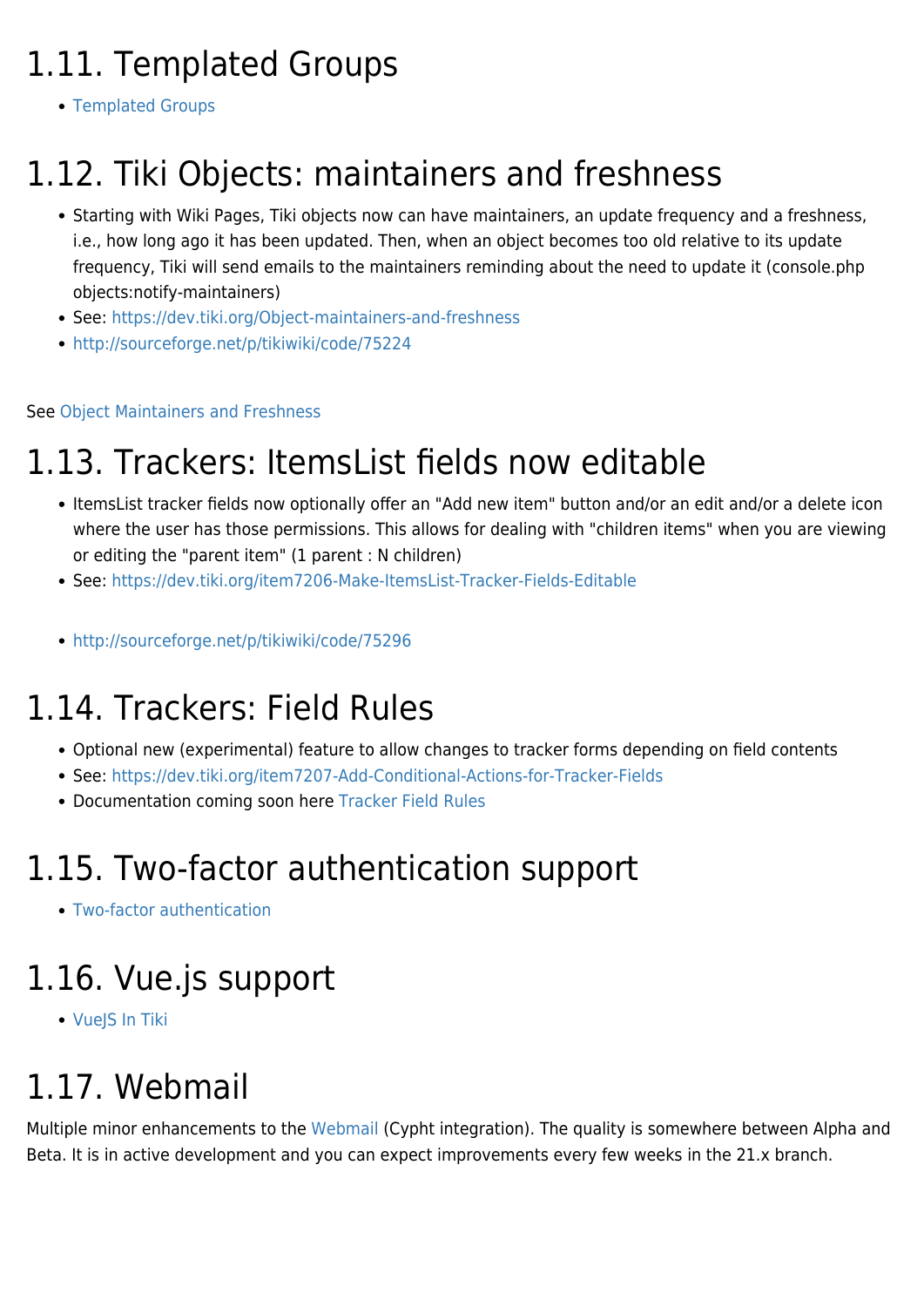### 1.11. Templated Groups

[Templated Groups](https://doc.tiki.org/Templated-Groups)

#### 1.12. Tiki Objects: maintainers and freshness

- Starting with Wiki Pages, Tiki objects now can have maintainers, an update frequency and a freshness, i.e., how long ago it has been updated. Then, when an object becomes too old relative to its update frequency, Tiki will send emails to the maintainers reminding about the need to update it (console.php objects:notify-maintainers)
- See:<https://dev.tiki.org/Object-maintainers-and-freshness>
- <http://sourceforge.net/p/tikiwiki/code/75224>

#### See [Object Maintainers and Freshness](https://doc.tiki.org/Object-Maintainers-and-Freshness)

#### 1.13. Trackers: ItemsList fields now editable

- ItemsList tracker fields now optionally offer an "Add new item" button and/or an edit and/or a delete icon where the user has those permissions. This allows for dealing with "children items" when you are viewing or editing the "parent item" (1 parent : N children)
- See:<https://dev.tiki.org/item7206-Make-ItemsList-Tracker-Fields-Editable>
- <http://sourceforge.net/p/tikiwiki/code/75296>

#### 1.14. Trackers: Field Rules

- Optional new (experimental) feature to allow changes to tracker forms depending on field contents
- See:<https://dev.tiki.org/item7207-Add-Conditional-Actions-for-Tracker-Fields>
- Documentation coming soon here [Tracker Field Rules](https://doc.tiki.org/Tracker-Field-Rules)

#### 1.15. Two-factor authentication support

[Two-factor authentication](https://doc.tiki.org/Two-factor-authentication)

#### 1.16. Vue.js support

[VueJS In Tiki](http://dev.tiki.org/VueJS%20In%20Tiki)

#### 1.17. Webmail

Multiple minor enhancements to the [Webmail](https://doc.tiki.org/Webmail) (Cypht integration). The quality is somewhere between Alpha and Beta. It is in active development and you can expect improvements every few weeks in the 21.x branch.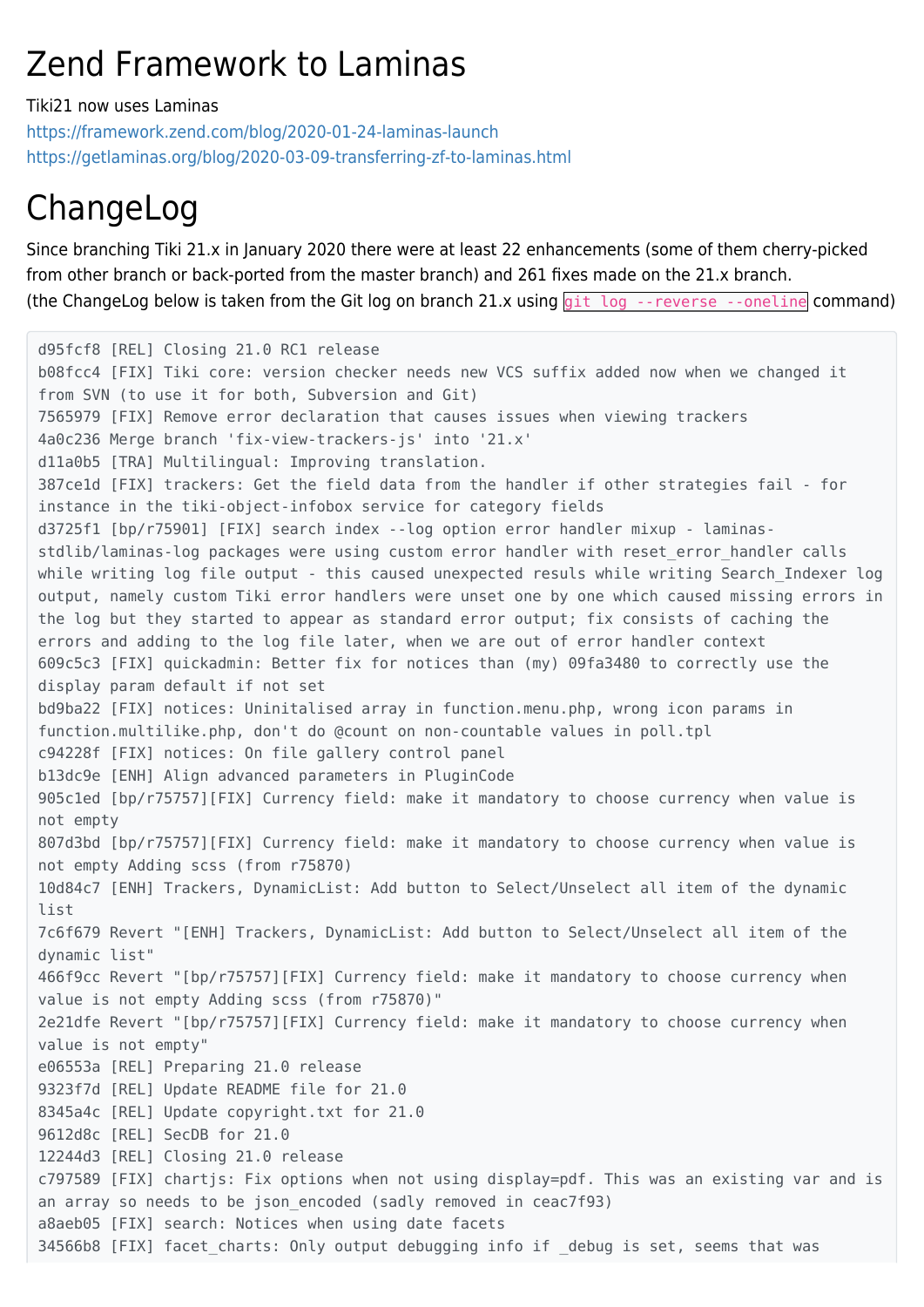#### Zend Framework to Laminas

Tiki21 now uses Laminas

<https://framework.zend.com/blog/2020-01-24-laminas-launch> <https://getlaminas.org/blog/2020-03-09-transferring-zf-to-laminas.html>

#### ChangeLog

Since branching Tiki 21.x in January 2020 there were at least 22 enhancements (some of them cherry-picked from other branch or back-ported from the master branch) and 261 fixes made on the 21.x branch. (the ChangeLog below is taken from the Git log on branch 21.x using git log --reverse --oneline command)

d95fcf8 [REL] Closing 21.0 RC1 release b08fcc4 [FIX] Tiki core: version checker needs new VCS suffix added now when we changed it from SVN (to use it for both, Subversion and Git) 7565979 [FIX] Remove error declaration that causes issues when viewing trackers 4a0c236 Merge branch 'fix-view-trackers-js' into '21.x' d11a0b5 [TRA] Multilingual: Improving translation. 387ce1d [FIX] trackers: Get the field data from the handler if other strategies fail - for instance in the tiki-object-infobox service for category fields d3725f1 [bp/r75901] [FIX] search index --log option error handler mixup - laminasstdlib/laminas-log packages were using custom error handler with reset error handler calls while writing log file output - this caused unexpected resuls while writing Search Indexer log output, namely custom Tiki error handlers were unset one by one which caused missing errors in the log but they started to appear as standard error output; fix consists of caching the errors and adding to the log file later, when we are out of error handler context 609c5c3 [FIX] quickadmin: Better fix for notices than (my) 09fa3480 to correctly use the display param default if not set bd9ba22 [FIX] notices: Uninitalised array in function.menu.php, wrong icon params in function.multilike.php, don't do @count on non-countable values in poll.tpl c94228f [FIX] notices: On file gallery control panel b13dc9e [ENH] Align advanced parameters in PluginCode 905c1ed [bp/r75757][FIX] Currency field: make it mandatory to choose currency when value is not empty 807d3bd [bp/r75757][FIX] Currency field: make it mandatory to choose currency when value is not empty Adding scss (from r75870) 10d84c7 [ENH] Trackers, DynamicList: Add button to Select/Unselect all item of the dynamic list 7c6f679 Revert "[ENH] Trackers, DynamicList: Add button to Select/Unselect all item of the dynamic list" 466f9cc Revert "[bp/r75757][FIX] Currency field: make it mandatory to choose currency when value is not empty Adding scss (from r75870)" 2e21dfe Revert "[bp/r75757][FIX] Currency field: make it mandatory to choose currency when value is not empty" e06553a [REL] Preparing 21.0 release 9323f7d [REL] Update README file for 21.0 8345a4c [REL] Update copyright.txt for 21.0 9612d8c [REL] SecDB for 21.0 12244d3 [REL] Closing 21.0 release c797589 [FIX] chartjs: Fix options when not using display=pdf. This was an existing var and is an array so needs to be json encoded (sadly removed in ceac7f93) a8aeb05 [FIX] search: Notices when using date facets 34566b8 [FIX] facet\_charts: Only output debugging info if \_debug is set, seems that was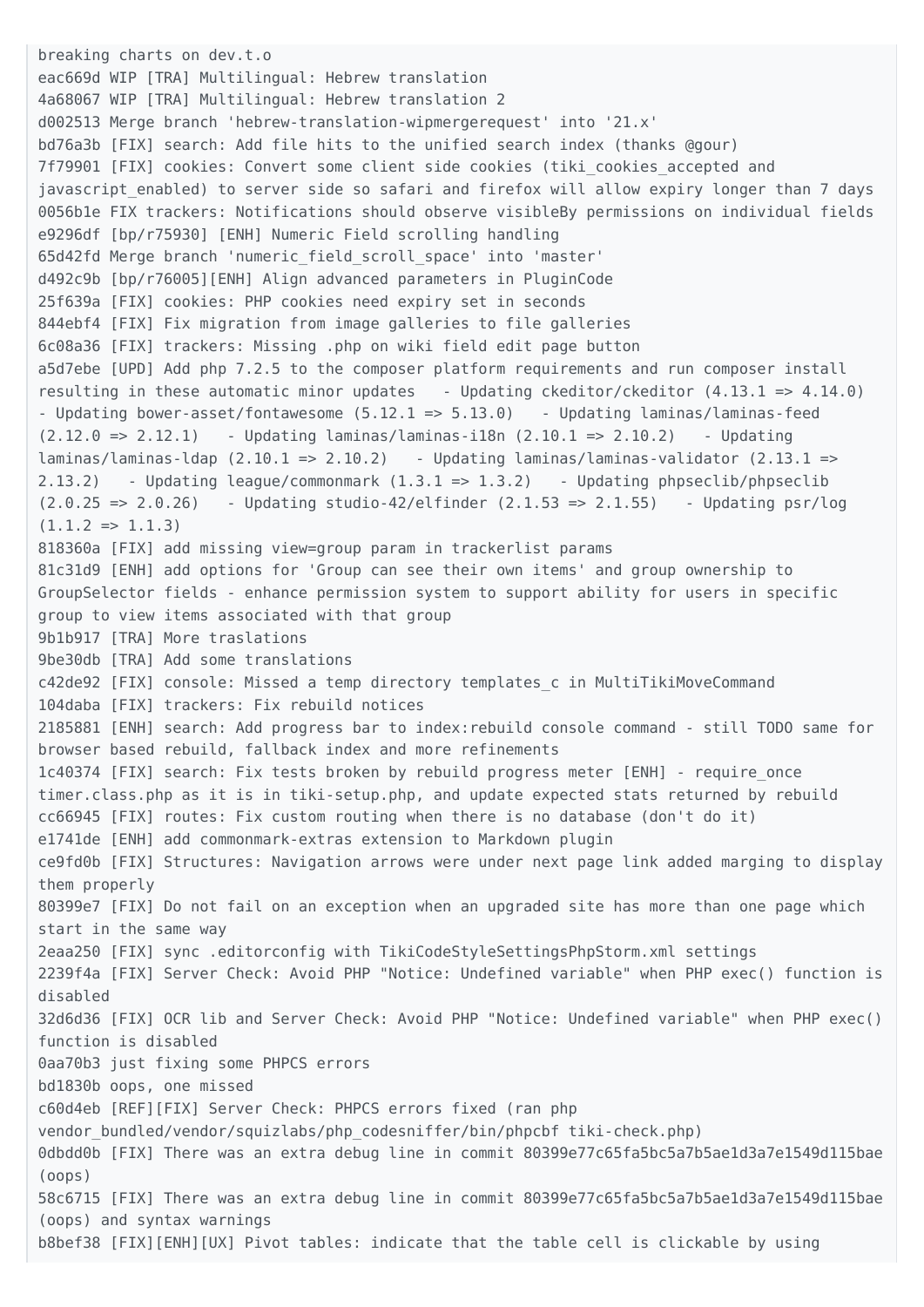breaking charts on dev.t.o eac669d WIP [TRA] Multilingual: Hebrew translation 4a68067 WIP [TRA] Multilingual: Hebrew translation 2 d002513 Merge branch 'hebrew-translation-wipmergerequest' into '21.x' bd76a3b [FIX] search: Add file hits to the unified search index (thanks @gour) 7f79901 [FIX] cookies: Convert some client side cookies (tiki\_cookies\_accepted and javascript enabled) to server side so safari and firefox will allow expiry longer than 7 days 0056b1e FIX trackers: Notifications should observe visibleBy permissions on individual fields e9296df [bp/r75930] [ENH] Numeric Field scrolling handling 65d42fd Merge branch 'numeric\_field\_scroll\_space' into 'master' d492c9b [bp/r76005][ENH] Align advanced parameters in PluginCode 25f639a [FIX] cookies: PHP cookies need expiry set in seconds 844ebf4 [FIX] Fix migration from image galleries to file galleries 6c08a36 [FIX] trackers: Missing .php on wiki field edit page button a5d7ebe [UPD] Add php 7.2.5 to the composer platform requirements and run composer install resulting in these automatic minor updates - Updating ckeditor/ckeditor  $(4.13.1 \Rightarrow 4.14.0)$ - Updating bower-asset/fontawesome (5.12.1 => 5.13.0) - Updating laminas/laminas-feed (2.12.0 => 2.12.1) - Updating laminas/laminas-i18n (2.10.1 => 2.10.2) - Updating  $l$ aminas/ $l$ aminas- $l$ dap (2.10.1 => 2.10.2) - Updating  $l$ aminas/ $l$ aminas-validator (2.13.1 => 2.13.2) - Updating league/commonmark (1.3.1 => 1.3.2) - Updating phpseclib/phpseclib  $(2.0.25 \Rightarrow 2.0.26)$  - Updating studio-42/elfinder  $(2.1.53 \Rightarrow 2.1.55)$  - Updating psr/log  $(1.1.2 \Rightarrow 1.1.3)$ 818360a [FIX] add missing view=group param in trackerlist params 81c31d9 [ENH] add options for 'Group can see their own items' and group ownership to GroupSelector fields - enhance permission system to support ability for users in specific group to view items associated with that group 9b1b917 [TRA] More traslations 9be30db [TRA] Add some translations c42de92 [FIX] console: Missed a temp directory templates\_c in MultiTikiMoveCommand 104daba [FIX] trackers: Fix rebuild notices 2185881 [ENH] search: Add progress bar to index:rebuild console command - still TODO same for browser based rebuild, fallback index and more refinements 1c40374 [FIX] search: Fix tests broken by rebuild progress meter [ENH] - require\_once timer.class.php as it is in tiki-setup.php, and update expected stats returned by rebuild cc66945 [FIX] routes: Fix custom routing when there is no database (don't do it) e1741de [ENH] add commonmark-extras extension to Markdown plugin ce9fd0b [FIX] Structures: Navigation arrows were under next page link added marging to display them properly 80399e7 [FIX] Do not fail on an exception when an upgraded site has more than one page which start in the same way 2eaa250 [FIX] sync .editorconfig with TikiCodeStyleSettingsPhpStorm.xml settings 2239f4a [FIX] Server Check: Avoid PHP "Notice: Undefined variable" when PHP exec() function is disabled 32d6d36 [FIX] OCR lib and Server Check: Avoid PHP "Notice: Undefined variable" when PHP exec() function is disabled 0aa70b3 just fixing some PHPCS errors bd1830b oops, one missed c60d4eb [REF][FIX] Server Check: PHPCS errors fixed (ran php vendor bundled/vendor/squizlabs/php\_codesniffer/bin/phpcbf\_tiki-check.php) 0dbdd0b [FIX] There was an extra debug line in commit 80399e77c65fa5bc5a7b5ae1d3a7e1549d115bae (oops) 58c6715 [FIX] There was an extra debug line in commit 80399e77c65fa5bc5a7b5ae1d3a7e1549d115bae (oops) and syntax warnings b8bef38 [FIX][ENH][UX] Pivot tables: indicate that the table cell is clickable by using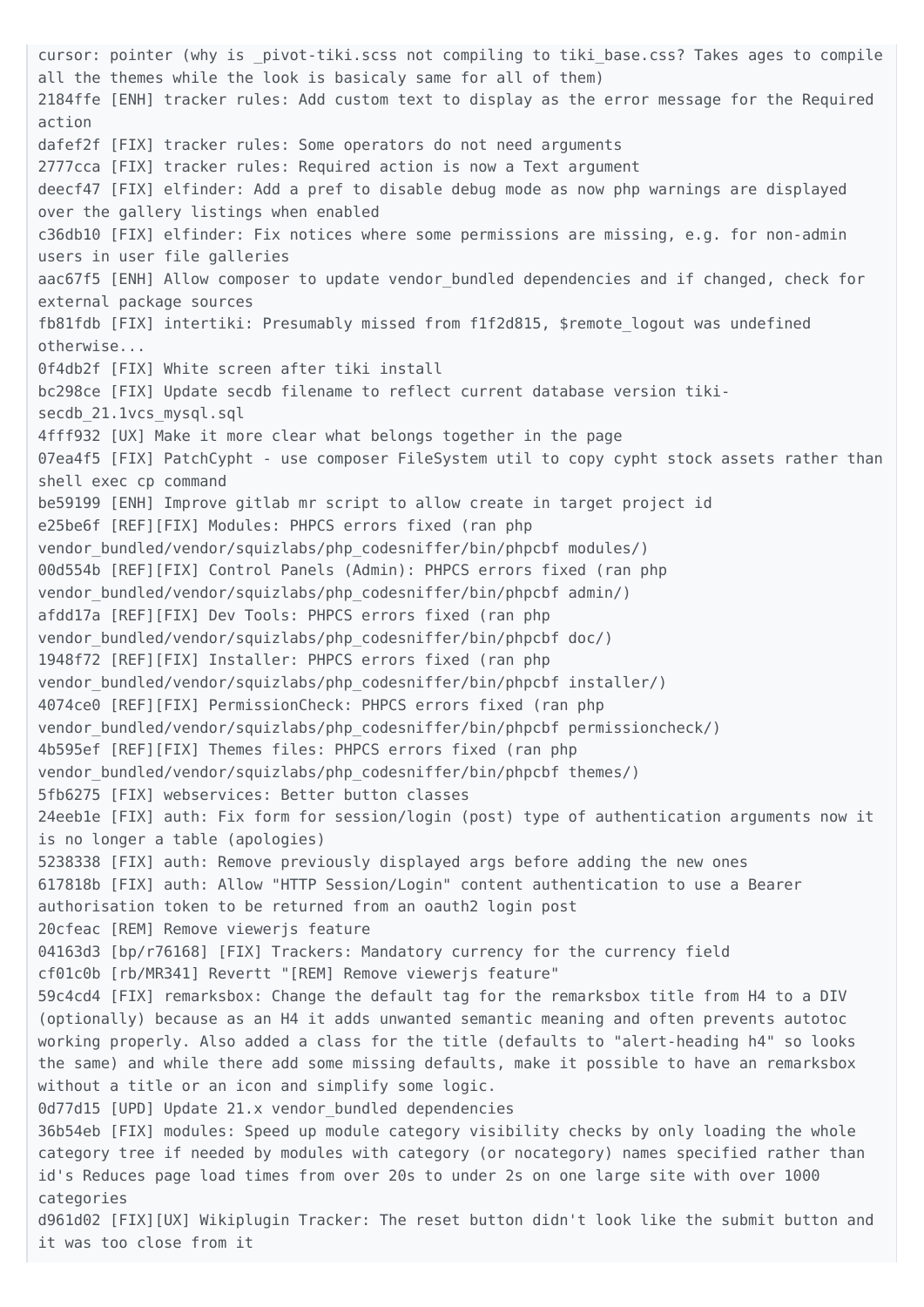cursor: pointer (why is \_pivot-tiki.scss not compiling to tiki base.css? Takes ages to compile all the themes while the look is basicaly same for all of them) 2184ffe [ENH] tracker rules: Add custom text to display as the error message for the Required action dafef2f [FIX] tracker rules: Some operators do not need arguments 2777cca [FIX] tracker rules: Required action is now a Text argument deecf47 [FIX] elfinder: Add a pref to disable debug mode as now php warnings are displayed over the gallery listings when enabled c36db10 [FIX] elfinder: Fix notices where some permissions are missing, e.g. for non-admin users in user file galleries aac67f5 [ENH] Allow composer to update vendor bundled dependencies and if changed, check for external package sources fb81fdb [FIX] intertiki: Presumably missed from f1f2d815, \$remote\_logout was undefined otherwise... 0f4db2f [FIX] White screen after tiki install bc298ce [FIX] Update secdb filename to reflect current database version tikisecdb 21.1vcs mysql.sql 4fff932 [UX] Make it more clear what belongs together in the page 07ea4f5 [FIX] PatchCypht - use composer FileSystem util to copy cypht stock assets rather than shell exec cp command be59199 [ENH] Improve gitlab mr script to allow create in target project id e25be6f [REF][FIX] Modules: PHPCS errors fixed (ran php vendor bundled/vendor/squizlabs/php codesniffer/bin/phpcbf modules/) 00d554b [REF][FIX] Control Panels (Admin): PHPCS errors fixed (ran php vendor bundled/vendor/squizlabs/php codesniffer/bin/phpcbf admin/) afdd17a [REF][FIX] Dev Tools: PHPCS errors fixed (ran php vendor bundled/vendor/squizlabs/php\_codesniffer/bin/phpcbf\_doc/) 1948f72 [REF][FIX] Installer: PHPCS errors fixed (ran php vendor bundled/vendor/squizlabs/php codesniffer/bin/phpcbf installer/) 4074ce0 [REF][FIX] PermissionCheck: PHPCS errors fixed (ran php vendor bundled/vendor/squizlabs/php codesniffer/bin/phpcbf permissioncheck/) 4b595ef [REF][FIX] Themes files: PHPCS errors fixed (ran php vendor bundled/vendor/squizlabs/php codesniffer/bin/phpcbf themes/) 5fb6275 [FIX] webservices: Better button classes 24eeb1e [FIX] auth: Fix form for session/login (post) type of authentication arguments now it is no longer a table (apologies) 5238338 [FIX] auth: Remove previously displayed args before adding the new ones 617818b [FIX] auth: Allow "HTTP Session/Login" content authentication to use a Bearer authorisation token to be returned from an oauth2 login post 20cfeac [REM] Remove viewerjs feature 04163d3 [bp/r76168] [FIX] Trackers: Mandatory currency for the currency field cf01c0b [rb/MR341] Revertt "[REM] Remove viewerjs feature" 59c4cd4 [FIX] remarksbox: Change the default tag for the remarksbox title from H4 to a DIV (optionally) because as an H4 it adds unwanted semantic meaning and often prevents autotoc working properly. Also added a class for the title (defaults to "alert-heading h4" so looks the same) and while there add some missing defaults, make it possible to have an remarksbox without a title or an icon and simplify some logic. 0d77d15 [UPD] Update 21.x vendor bundled dependencies 36b54eb [FIX] modules: Speed up module category visibility checks by only loading the whole category tree if needed by modules with category (or nocategory) names specified rather than id's Reduces page load times from over 20s to under 2s on one large site with over 1000 categories d961d02 [FIX][UX] Wikiplugin Tracker: The reset button didn't look like the submit button and it was too close from it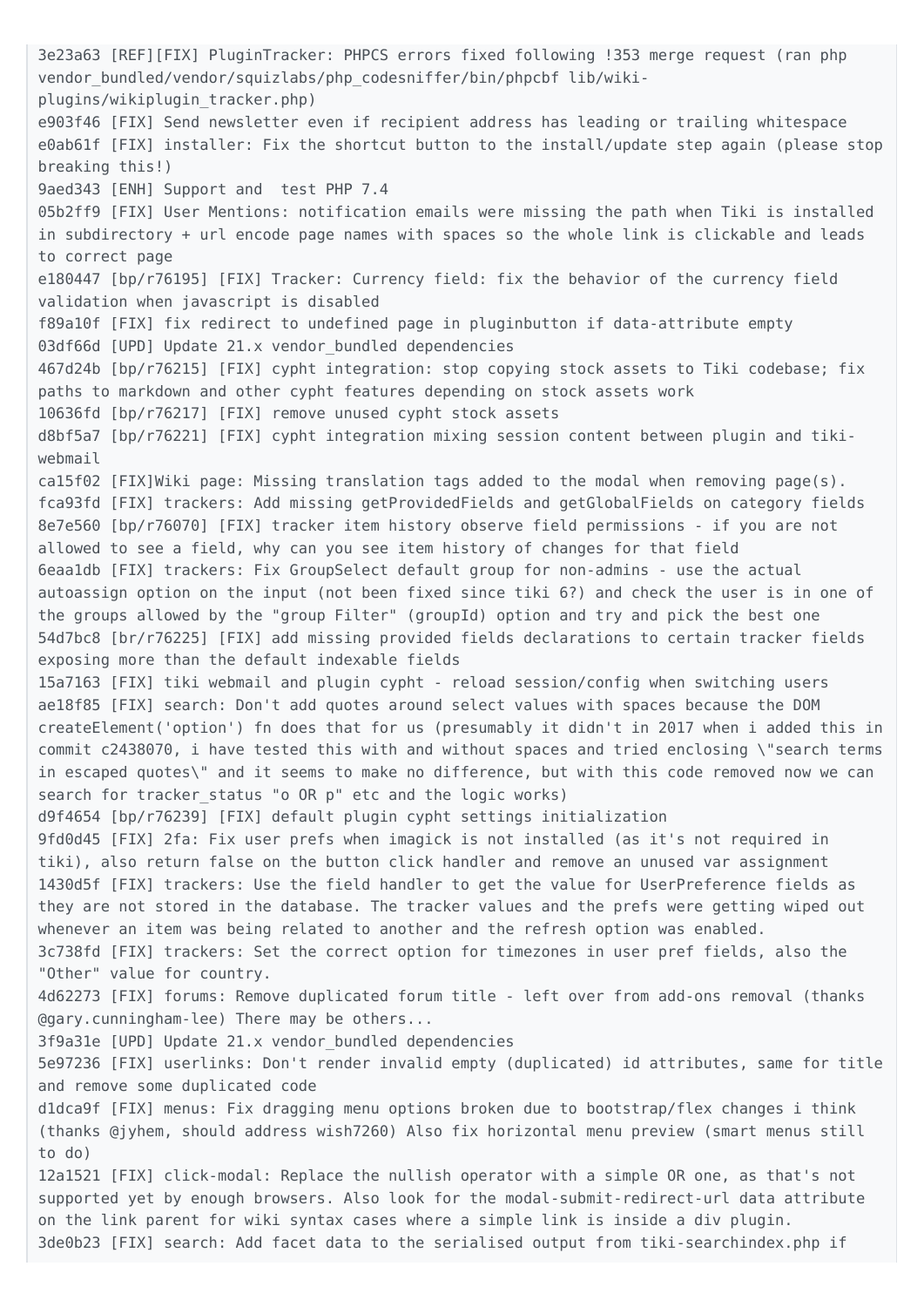3e23a63 [REF][FIX] PluginTracker: PHPCS errors fixed following !353 merge request (ran php vendor bundled/vendor/squizlabs/php codesniffer/bin/phpcbf lib/wikiplugins/wikiplugin\_tracker.php) e903f46 [FIX] Send newsletter even if recipient address has leading or trailing whitespace e0ab61f [FIX] installer: Fix the shortcut button to the install/update step again (please stop breaking this!) 9aed343 [ENH] Support and test PHP 7.4 05b2ff9 [FIX] User Mentions: notification emails were missing the path when Tiki is installed in subdirectory + url encode page names with spaces so the whole link is clickable and leads to correct page e180447 [bp/r76195] [FIX] Tracker: Currency field: fix the behavior of the currency field validation when javascript is disabled f89a10f [FIX] fix redirect to undefined page in pluginbutton if data-attribute empty 03df66d [UPD] Update 21.x vendor bundled dependencies 467d24b [bp/r76215] [FIX] cypht integration: stop copying stock assets to Tiki codebase; fix paths to markdown and other cypht features depending on stock assets work 10636fd [bp/r76217] [FIX] remove unused cypht stock assets d8bf5a7 [bp/r76221] [FIX] cypht integration mixing session content between plugin and tikiwebmail ca15f02 [FIX]Wiki page: Missing translation tags added to the modal when removing page(s). fca93fd [FIX] trackers: Add missing getProvidedFields and getGlobalFields on category fields 8e7e560 [bp/r76070] [FIX] tracker item history observe field permissions - if you are not allowed to see a field, why can you see item history of changes for that field 6eaa1db [FIX] trackers: Fix GroupSelect default group for non-admins - use the actual autoassign option on the input (not been fixed since tiki 6?) and check the user is in one of the groups allowed by the "group Filter" (groupId) option and try and pick the best one 54d7bc8 [br/r76225] [FIX] add missing provided fields declarations to certain tracker fields exposing more than the default indexable fields 15a7163 [FIX] tiki webmail and plugin cypht - reload session/config when switching users ae18f85 [FIX] search: Don't add quotes around select values with spaces because the DOM createElement('option') fn does that for us (presumably it didn't in 2017 when i added this in commit c2438070, i have tested this with and without spaces and tried enclosing \"search terms in escaped quotes\" and it seems to make no difference, but with this code removed now we can search for tracker status "o OR p" etc and the logic works) d9f4654 [bp/r76239] [FIX] default plugin cypht settings initialization 9fd0d45 [FIX] 2fa: Fix user prefs when imagick is not installed (as it's not required in tiki), also return false on the button click handler and remove an unused var assignment 1430d5f [FIX] trackers: Use the field handler to get the value for UserPreference fields as they are not stored in the database. The tracker values and the prefs were getting wiped out whenever an item was being related to another and the refresh option was enabled. 3c738fd [FIX] trackers: Set the correct option for timezones in user pref fields, also the "Other" value for country. 4d62273 [FIX] forums: Remove duplicated forum title - left over from add-ons removal (thanks @gary.cunningham-lee) There may be others... 3f9a31e [UPD] Update 21.x vendor\_bundled dependencies 5e97236 [FIX] userlinks: Don't render invalid empty (duplicated) id attributes, same for title and remove some duplicated code d1dca9f [FIX] menus: Fix dragging menu options broken due to bootstrap/flex changes i think (thanks @jyhem, should address wish7260) Also fix horizontal menu preview (smart menus still to do) 12a1521 [FIX] click-modal: Replace the nullish operator with a simple OR one, as that's not supported yet by enough browsers. Also look for the modal-submit-redirect-url data attribute on the link parent for wiki syntax cases where a simple link is inside a div plugin. 3de0b23 [FIX] search: Add facet data to the serialised output from tiki-searchindex.php if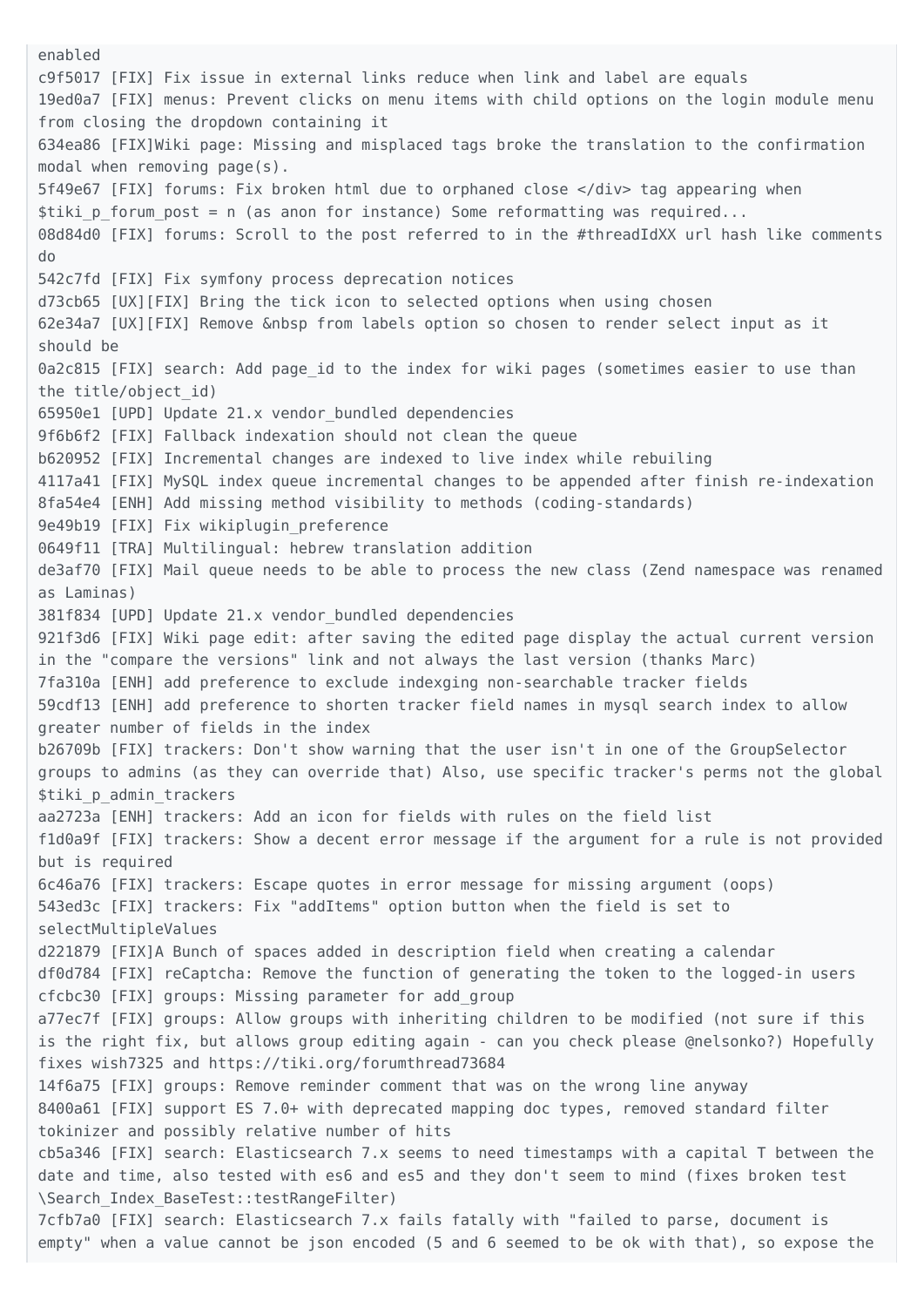enabled c9f5017 [FIX] Fix issue in external links reduce when link and label are equals 19ed0a7 [FIX] menus: Prevent clicks on menu items with child options on the login module menu from closing the dropdown containing it 634ea86 [FIX]Wiki page: Missing and misplaced tags broke the translation to the confirmation modal when removing page(s). 5f49e67 [FIX] forums: Fix broken html due to orphaned close </div> tag appearing when \$tiki p forum post = n (as anon for instance) Some reformatting was required... 08d84d0 [FIX] forums: Scroll to the post referred to in the #threadIdXX url hash like comments do 542c7fd [FIX] Fix symfony process deprecation notices d73cb65 [UX][FIX] Bring the tick icon to selected options when using chosen 62e34a7 [UX][FIX] Remove &nbsp from labels option so chosen to render select input as it should be 0a2c815 [FIX] search: Add page id to the index for wiki pages (sometimes easier to use than the title/object\_id) 65950e1 [UPD] Update 21.x vendor\_bundled dependencies 9f6b6f2 [FIX] Fallback indexation should not clean the queue b620952 [FIX] Incremental changes are indexed to live index while rebuiling 4117a41 [FIX] MySQL index queue incremental changes to be appended after finish re-indexation 8fa54e4 [ENH] Add missing method visibility to methods (coding-standards) 9e49b19 [FIX] Fix wikiplugin\_preference 0649f11 [TRA] Multilingual: hebrew translation addition de3af70 [FIX] Mail queue needs to be able to process the new class (Zend namespace was renamed as Laminas) 381f834 [UPD] Update 21.x vendor\_bundled dependencies 921f3d6 [FIX] Wiki page edit: after saving the edited page display the actual current version in the "compare the versions" link and not always the last version (thanks Marc) 7fa310a [ENH] add preference to exclude indexging non-searchable tracker fields 59cdf13 [ENH] add preference to shorten tracker field names in mysql search index to allow greater number of fields in the index b26709b [FIX] trackers: Don't show warning that the user isn't in one of the GroupSelector groups to admins (as they can override that) Also, use specific tracker's perms not the global \$tiki p admin trackers aa2723a [ENH] trackers: Add an icon for fields with rules on the field list f1d0a9f [FIX] trackers: Show a decent error message if the argument for a rule is not provided but is required 6c46a76 [FIX] trackers: Escape quotes in error message for missing argument (oops) 543ed3c [FIX] trackers: Fix "addItems" option button when the field is set to selectMultipleValues d221879 [FIX]A Bunch of spaces added in description field when creating a calendar df0d784 [FIX] reCaptcha: Remove the function of generating the token to the logged-in users cfcbc30 [FIX] groups: Missing parameter for add\_group a77ec7f [FIX] groups: Allow groups with inheriting children to be modified (not sure if this is the right fix, but allows group editing again - can you check please @nelsonko?) Hopefully fixes wish7325 and https://tiki.org/forumthread73684 14f6a75 [FIX] groups: Remove reminder comment that was on the wrong line anyway 8400a61 [FIX] support ES 7.0+ with deprecated mapping doc types, removed standard filter tokinizer and possibly relative number of hits cb5a346 [FIX] search: Elasticsearch 7.x seems to need timestamps with a capital T between the date and time, also tested with es6 and es5 and they don't seem to mind (fixes broken test \Search\_Index\_BaseTest::testRangeFilter) 7cfb7a0 [FIX] search: Elasticsearch 7.x fails fatally with "failed to parse, document is empty" when a value cannot be json encoded (5 and 6 seemed to be ok with that), so expose the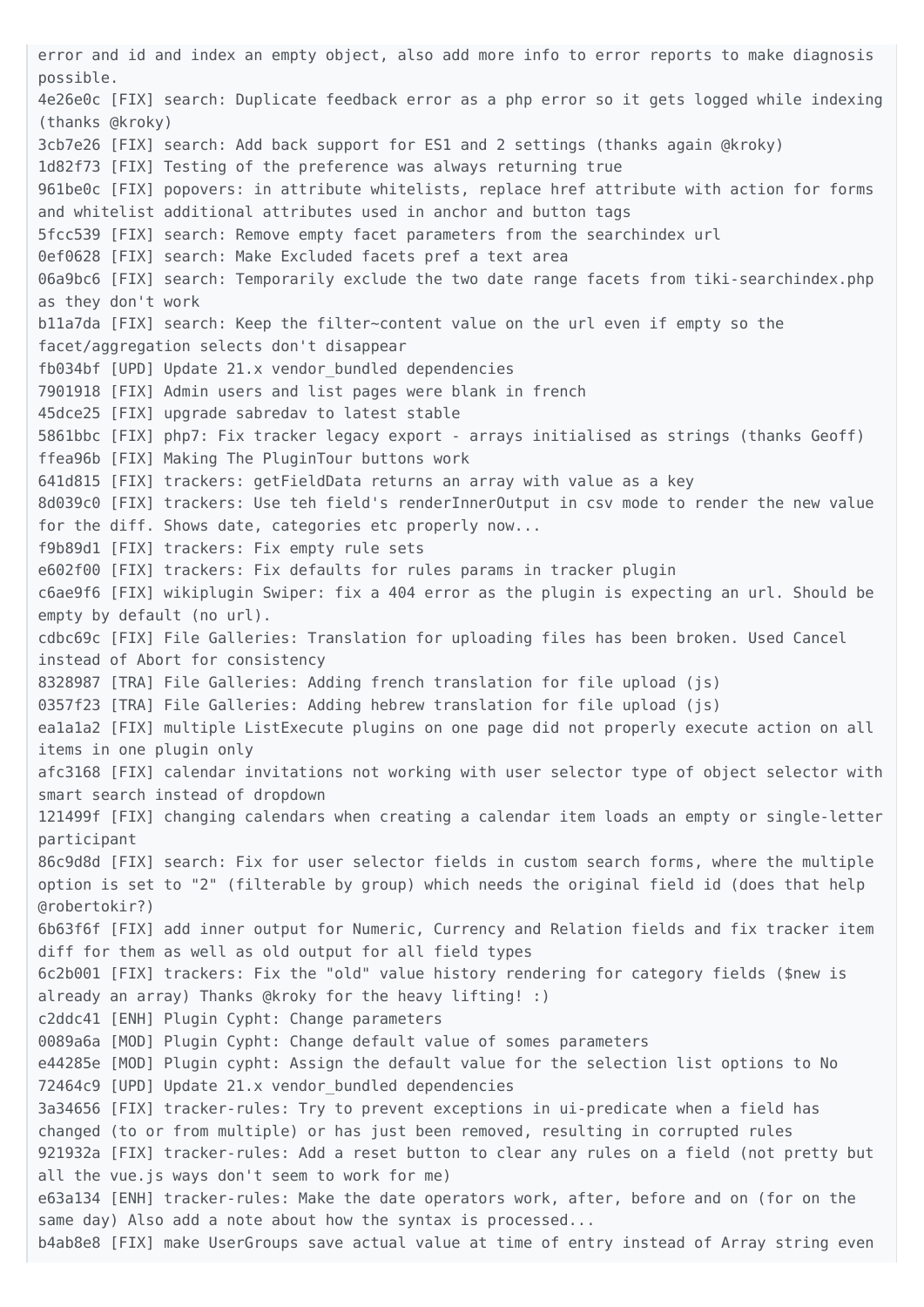error and id and index an empty object, also add more info to error reports to make diagnosis possible. 4e26e0c [FIX] search: Duplicate feedback error as a php error so it gets logged while indexing (thanks @kroky) 3cb7e26 [FIX] search: Add back support for ES1 and 2 settings (thanks again @kroky) 1d82f73 [FIX] Testing of the preference was always returning true 961be0c [FIX] popovers: in attribute whitelists, replace href attribute with action for forms and whitelist additional attributes used in anchor and button tags 5fcc539 [FIX] search: Remove empty facet parameters from the searchindex url 0ef0628 [FIX] search: Make Excluded facets pref a text area 06a9bc6 [FIX] search: Temporarily exclude the two date range facets from tiki-searchindex.php as they don't work b11a7da [FIX] search: Keep the filter~content value on the url even if empty so the facet/aggregation selects don't disappear fb034bf [UPD] Update 21.x vendor\_bundled dependencies 7901918 [FIX] Admin users and list pages were blank in french 45dce25 [FIX] upgrade sabredav to latest stable 5861bbc [FIX] php7: Fix tracker legacy export - arrays initialised as strings (thanks Geoff) ffea96b [FIX] Making The PluginTour buttons work 641d815 [FIX] trackers: getFieldData returns an array with value as a key 8d039c0 [FIX] trackers: Use teh field's renderInnerOutput in csv mode to render the new value for the diff. Shows date, categories etc properly now... f9b89d1 [FIX] trackers: Fix empty rule sets e602f00 [FIX] trackers: Fix defaults for rules params in tracker plugin c6ae9f6 [FIX] wikiplugin Swiper: fix a 404 error as the plugin is expecting an url. Should be empty by default (no url). cdbc69c [FIX] File Galleries: Translation for uploading files has been broken. Used Cancel instead of Abort for consistency 8328987 [TRA] File Galleries: Adding french translation for file upload (js) 0357f23 [TRA] File Galleries: Adding hebrew translation for file upload (js) ea1a1a2 [FIX] multiple ListExecute plugins on one page did not properly execute action on all items in one plugin only afc3168 [FIX] calendar invitations not working with user selector type of object selector with smart search instead of dropdown 121499f [FIX] changing calendars when creating a calendar item loads an empty or single-letter participant 86c9d8d [FIX] search: Fix for user selector fields in custom search forms, where the multiple option is set to "2" (filterable by group) which needs the original field id (does that help @robertokir?) 6b63f6f [FIX] add inner output for Numeric, Currency and Relation fields and fix tracker item diff for them as well as old output for all field types 6c2b001 [FIX] trackers: Fix the "old" value history rendering for category fields (\$new is already an array) Thanks @kroky for the heavy lifting! :) c2ddc41 [ENH] Plugin Cypht: Change parameters 0089a6a [MOD] Plugin Cypht: Change default value of somes parameters e44285e [MOD] Plugin cypht: Assign the default value for the selection list options to No 72464c9 [UPD] Update 21.x vendor\_bundled dependencies 3a34656 [FIX] tracker-rules: Try to prevent exceptions in ui-predicate when a field has changed (to or from multiple) or has just been removed, resulting in corrupted rules 921932a [FIX] tracker-rules: Add a reset button to clear any rules on a field (not pretty but all the vue.js ways don't seem to work for me) e63a134 [ENH] tracker-rules: Make the date operators work, after, before and on (for on the same day) Also add a note about how the syntax is processed... b4ab8e8 [FIX] make UserGroups save actual value at time of entry instead of Array string even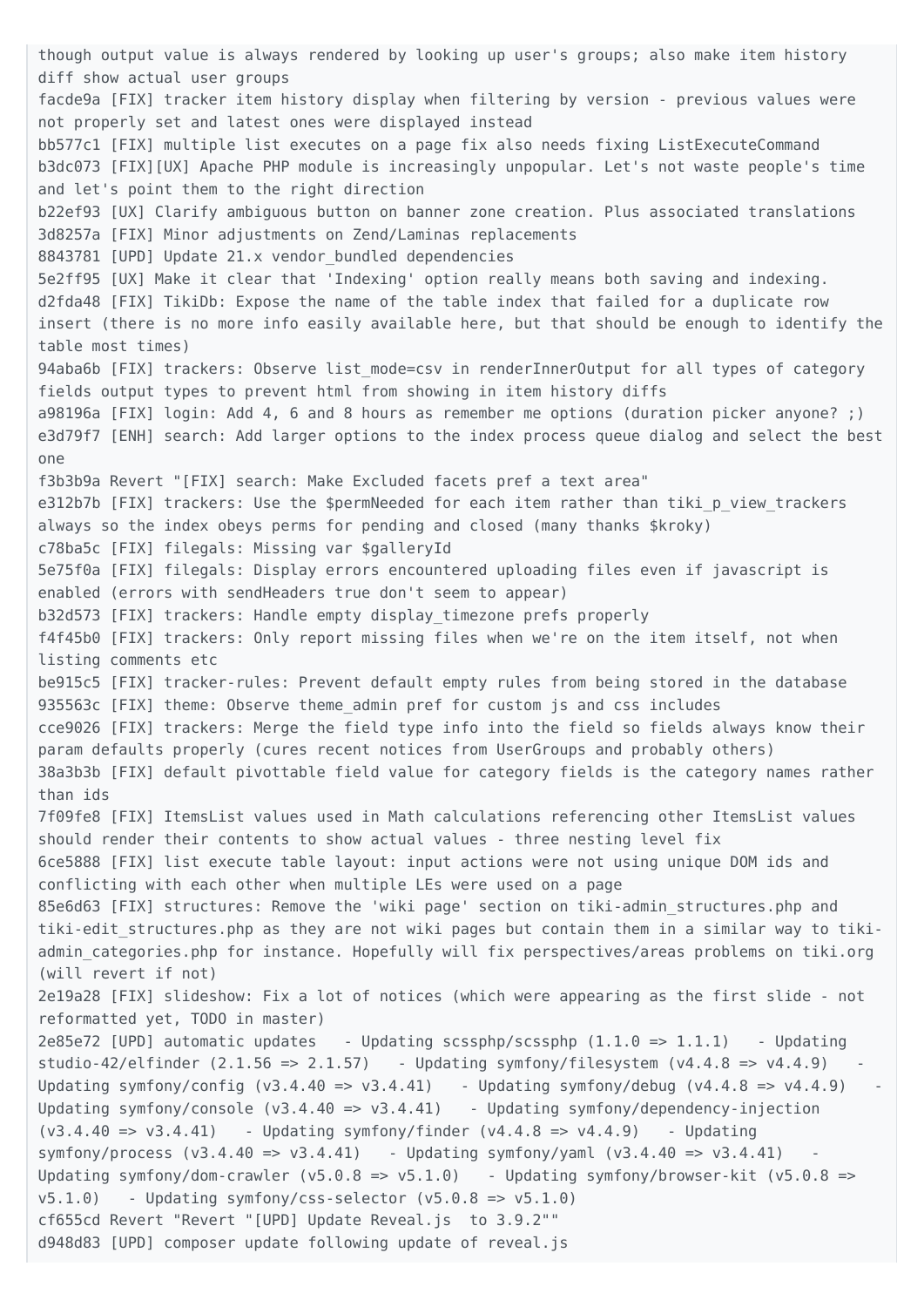though output value is always rendered by looking up user's groups; also make item history diff show actual user groups facde9a [FIX] tracker item history display when filtering by version - previous values were not properly set and latest ones were displayed instead bb577c1 [FIX] multiple list executes on a page fix also needs fixing ListExecuteCommand b3dc073 [FIX][UX] Apache PHP module is increasingly unpopular. Let's not waste people's time and let's point them to the right direction b22ef93 [UX] Clarify ambiguous button on banner zone creation. Plus associated translations 3d8257a [FIX] Minor adjustments on Zend/Laminas replacements 8843781 [UPD] Update 21.x vendor bundled dependencies 5e2ff95 [UX] Make it clear that 'Indexing' option really means both saving and indexing. d2fda48 [FIX] TikiDb: Expose the name of the table index that failed for a duplicate row insert (there is no more info easily available here, but that should be enough to identify the table most times) 94aba6b [FIX] trackers: Observe list mode=csv in renderInnerOutput for all types of category fields output types to prevent html from showing in item history diffs a98196a [FIX] login: Add 4, 6 and 8 hours as remember me options (duration picker anyone? ;) e3d79f7 [ENH] search: Add larger options to the index process queue dialog and select the best one f3b3b9a Revert "[FIX] search: Make Excluded facets pref a text area" e312b7b [FIX] trackers: Use the \$permNeeded for each item rather than tiki p view trackers always so the index obeys perms for pending and closed (many thanks \$kroky) c78ba5c [FIX] filegals: Missing var \$galleryId 5e75f0a [FIX] filegals: Display errors encountered uploading files even if javascript is enabled (errors with sendHeaders true don't seem to appear) b32d573 [FIX] trackers: Handle empty display timezone prefs properly f4f45b0 [FIX] trackers: Only report missing files when we're on the item itself, not when listing comments etc be915c5 [FIX] tracker-rules: Prevent default empty rules from being stored in the database 935563c [FIX] theme: Observe theme\_admin pref for custom js and css includes cce9026 [FIX] trackers: Merge the field type info into the field so fields always know their param defaults properly (cures recent notices from UserGroups and probably others) 38a3b3b [FIX] default pivottable field value for category fields is the category names rather than ids 7f09fe8 [FIX] ItemsList values used in Math calculations referencing other ItemsList values should render their contents to show actual values - three nesting level fix 6ce5888 [FIX] list execute table layout: input actions were not using unique DOM ids and conflicting with each other when multiple LEs were used on a page 85e6d63 [FIX] structures: Remove the 'wiki page' section on tiki-admin\_structures.php and tiki-edit structures.php as they are not wiki pages but contain them in a similar way to tikiadmin categories.php for instance. Hopefully will fix perspectives/areas problems on tiki.org (will revert if not) 2e19a28 [FIX] slideshow: Fix a lot of notices (which were appearing as the first slide - not reformatted yet, TODO in master) 2e85e72 [UPD] automatic updates - Updating scssphp/scssphp  $(1.1.0 \Rightarrow 1.1.1)$  - Updating studio-42/elfinder  $(2.1.56 \Rightarrow 2.1.57)$  - Updating symfony/filesystem  $(v4.4.8 \Rightarrow v4.4.9)$ Updating symfony/config  $(v3.4.40 \Rightarrow v3.4.41)$  - Updating symfony/debug  $(v4.4.8 \Rightarrow v4.4.9)$ Updating symfony/console  $(v3.4.40 \Rightarrow v3.4.41)$  - Updating symfony/dependency-injection  $(v3.4.40 \Rightarrow v3.4.41)$  - Updating symfony/finder  $(v4.4.8 \Rightarrow v4.4.9)$  - Updating symfony/process  $(v3.4.40 \Rightarrow v3.4.41)$  - Updating symfony/yaml  $(v3.4.40 \Rightarrow v3.4.41)$ Updating symfony/dom-crawler (v5.0.8 => v5.1.0) - Updating symfony/browser-kit (v5.0.8 =>  $v5.1.0$ ) - Updating symfony/css-selector  $(v5.0.8 \Rightarrow v5.1.0)$ cf655cd Revert "Revert "[UPD] Update Reveal.js to 3.9.2"" d948d83 [UPD] composer update following update of reveal.js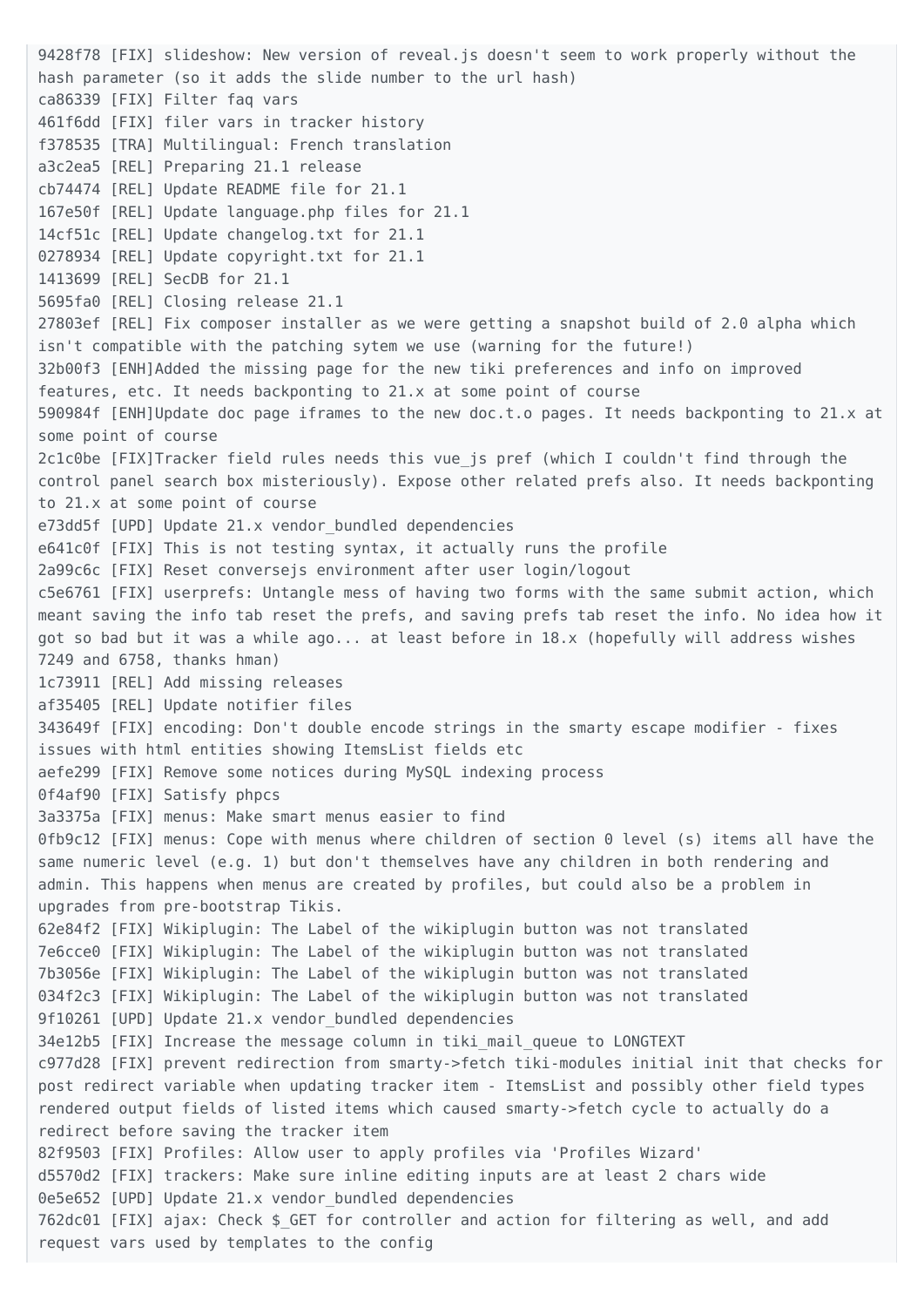9428f78 [FIX] slideshow: New version of reveal.js doesn't seem to work properly without the hash parameter (so it adds the slide number to the url hash) ca86339 [FIX] Filter faq vars 461f6dd [FIX] filer vars in tracker history f378535 [TRA] Multilingual: French translation a3c2ea5 [REL] Preparing 21.1 release cb74474 [REL] Update README file for 21.1 167e50f [REL] Update language.php files for 21.1 14cf51c [REL] Update changelog.txt for 21.1 0278934 [REL] Update copyright.txt for 21.1 1413699 [REL] SecDB for 21.1 5695fa0 [REL] Closing release 21.1 27803ef [REL] Fix composer installer as we were getting a snapshot build of 2.0 alpha which isn't compatible with the patching sytem we use (warning for the future!) 32b00f3 [ENH]Added the missing page for the new tiki preferences and info on improved features, etc. It needs backponting to 21.x at some point of course 590984f [ENH]Update doc page iframes to the new doc.t.o pages. It needs backponting to 21.x at some point of course 2c1c0be [FIX]Tracker field rules needs this vue\_js pref (which I couldn't find through the control panel search box misteriously). Expose other related prefs also. It needs backponting to 21.x at some point of course e73dd5f [UPD] Update 21.x vendor bundled dependencies e641c0f [FIX] This is not testing syntax, it actually runs the profile 2a99c6c [FIX] Reset conversejs environment after user login/logout c5e6761 [FIX] userprefs: Untangle mess of having two forms with the same submit action, which meant saving the info tab reset the prefs, and saving prefs tab reset the info. No idea how it got so bad but it was a while ago... at least before in 18.x (hopefully will address wishes 7249 and 6758, thanks hman) 1c73911 [REL] Add missing releases af35405 [REL] Update notifier files 343649f [FIX] encoding: Don't double encode strings in the smarty escape modifier - fixes issues with html entities showing ItemsList fields etc aefe299 [FIX] Remove some notices during MySQL indexing process 0f4af90 [FIX] Satisfy phpcs 3a3375a [FIX] menus: Make smart menus easier to find 0fb9c12 [FIX] menus: Cope with menus where children of section 0 level (s) items all have the same numeric level (e.g. 1) but don't themselves have any children in both rendering and admin. This happens when menus are created by profiles, but could also be a problem in upgrades from pre-bootstrap Tikis. 62e84f2 [FIX] Wikiplugin: The Label of the wikiplugin button was not translated 7e6cce0 [FIX] Wikiplugin: The Label of the wikiplugin button was not translated 7b3056e [FIX] Wikiplugin: The Label of the wikiplugin button was not translated 034f2c3 [FIX] Wikiplugin: The Label of the wikiplugin button was not translated 9f10261 [UPD] Update 21.x vendor bundled dependencies 34e12b5 [FIX] Increase the message column in tiki\_mail\_queue to LONGTEXT c977d28 [FIX] prevent redirection from smarty->fetch tiki-modules initial init that checks for post redirect variable when updating tracker item - ItemsList and possibly other field types rendered output fields of listed items which caused smarty->fetch cycle to actually do a redirect before saving the tracker item 82f9503 [FIX] Profiles: Allow user to apply profiles via 'Profiles Wizard' d5570d2 [FIX] trackers: Make sure inline editing inputs are at least 2 chars wide 0e5e652 [UPD] Update 21.x vendor bundled dependencies 762dc01 [FIX] ajax: Check \$\_GET for controller and action for filtering as well, and add request vars used by templates to the config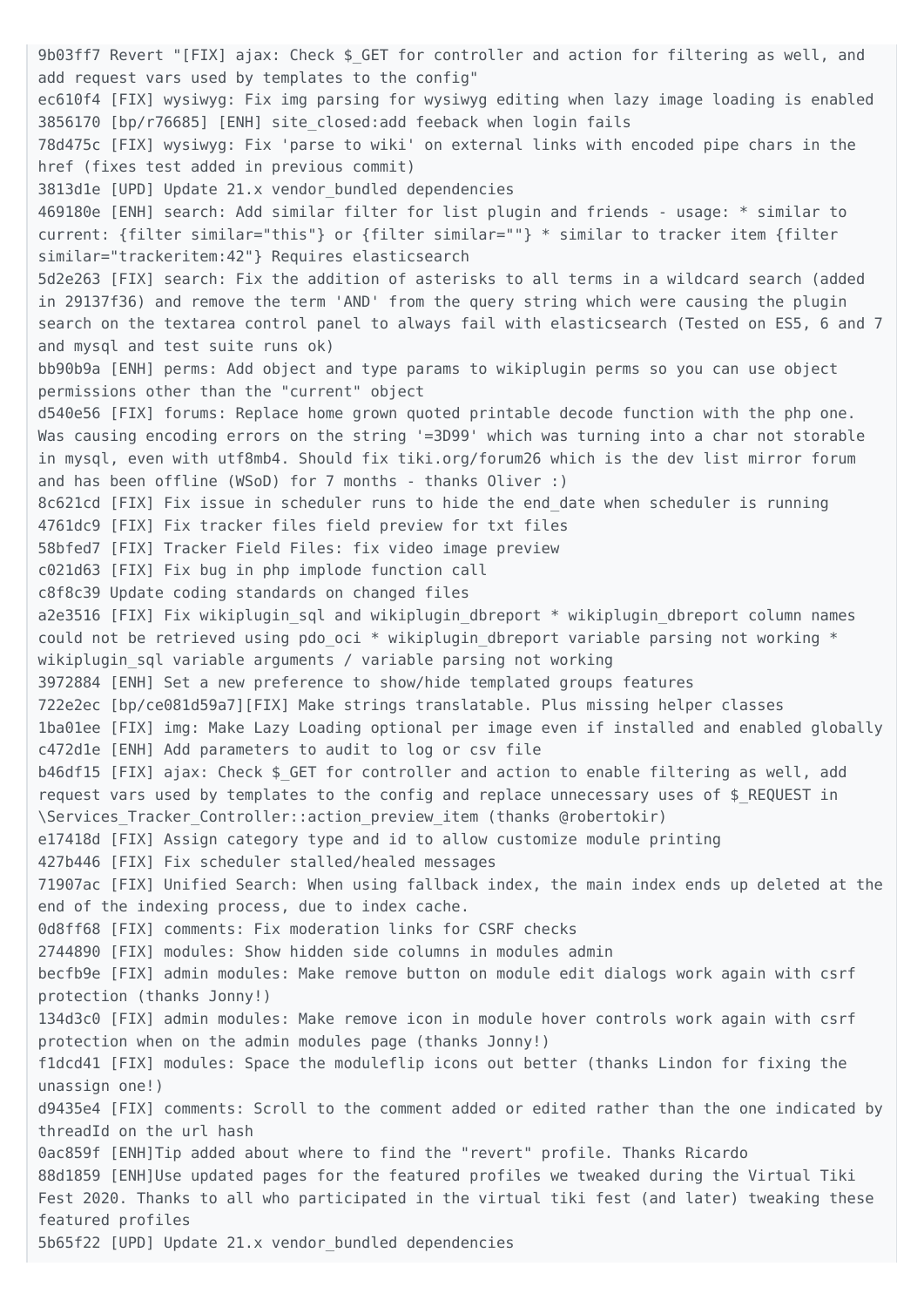9b03ff7 Revert "[FIX] ajax: Check \$ GET for controller and action for filtering as well, and add request vars used by templates to the config" ec610f4 [FIX] wysiwyg: Fix img parsing for wysiwyg editing when lazy image loading is enabled 3856170 [bp/r76685] [ENH] site\_closed:add feeback when login fails 78d475c [FIX] wysiwyg: Fix 'parse to wiki' on external links with encoded pipe chars in the href (fixes test added in previous commit) 3813d1e [UPD] Update 21.x vendor\_bundled dependencies 469180e [ENH] search: Add similar filter for list plugin and friends - usage: \* similar to current: {filter similar="this"} or {filter similar=""} \* similar to tracker item {filter similar="trackeritem:42"} Requires elasticsearch 5d2e263 [FIX] search: Fix the addition of asterisks to all terms in a wildcard search (added in 29137f36) and remove the term 'AND' from the query string which were causing the plugin search on the textarea control panel to always fail with elasticsearch (Tested on ES5, 6 and 7 and mysql and test suite runs ok) bb90b9a [ENH] perms: Add object and type params to wikiplugin perms so you can use object permissions other than the "current" object d540e56 [FIX] forums: Replace home grown quoted printable decode function with the php one. Was causing encoding errors on the string '=3D99' which was turning into a char not storable in mysql, even with utf8mb4. Should fix tiki.org/forum26 which is the dev list mirror forum and has been offline (WSoD) for 7 months - thanks Oliver :) 8c621cd [FIX] Fix issue in scheduler runs to hide the end\_date when scheduler is running 4761dc9 [FIX] Fix tracker files field preview for txt files 58bfed7 [FIX] Tracker Field Files: fix video image preview c021d63 [FIX] Fix bug in php implode function call c8f8c39 Update coding standards on changed files a2e3516 [FIX] Fix wikiplugin sql and wikiplugin dbreport \* wikiplugin dbreport column names could not be retrieved using pdo oci  $*$  wikiplugin dbreport variable parsing not working  $*$ wikiplugin sql variable arguments / variable parsing not working 3972884 [ENH] Set a new preference to show/hide templated groups features 722e2ec [bp/ce081d59a7][FIX] Make strings translatable. Plus missing helper classes 1ba01ee [FIX] img: Make Lazy Loading optional per image even if installed and enabled globally c472d1e [ENH] Add parameters to audit to log or csv file b46df15 [FIX] ajax: Check \$ GET for controller and action to enable filtering as well, add request vars used by templates to the config and replace unnecessary uses of \$ REQUEST in \Services\_Tracker\_Controller::action\_preview\_item (thanks @robertokir) e17418d [FIX] Assign category type and id to allow customize module printing 427b446 [FIX] Fix scheduler stalled/healed messages 71907ac [FIX] Unified Search: When using fallback index, the main index ends up deleted at the end of the indexing process, due to index cache. 0d8ff68 [FIX] comments: Fix moderation links for CSRF checks 2744890 [FIX] modules: Show hidden side columns in modules admin becfb9e [FIX] admin modules: Make remove button on module edit dialogs work again with csrf protection (thanks Jonny!) 134d3c0 [FIX] admin modules: Make remove icon in module hover controls work again with csrf protection when on the admin modules page (thanks Jonny!) f1dcd41 [FIX] modules: Space the moduleflip icons out better (thanks Lindon for fixing the unassign one!) d9435e4 [FIX] comments: Scroll to the comment added or edited rather than the one indicated by threadId on the url hash 0ac859f [ENH]Tip added about where to find the "revert" profile. Thanks Ricardo 88d1859 [ENH]Use updated pages for the featured profiles we tweaked during the Virtual Tiki Fest 2020. Thanks to all who participated in the virtual tiki fest (and later) tweaking these featured profiles

5b65f22 [UPD] Update 21.x vendor\_bundled dependencies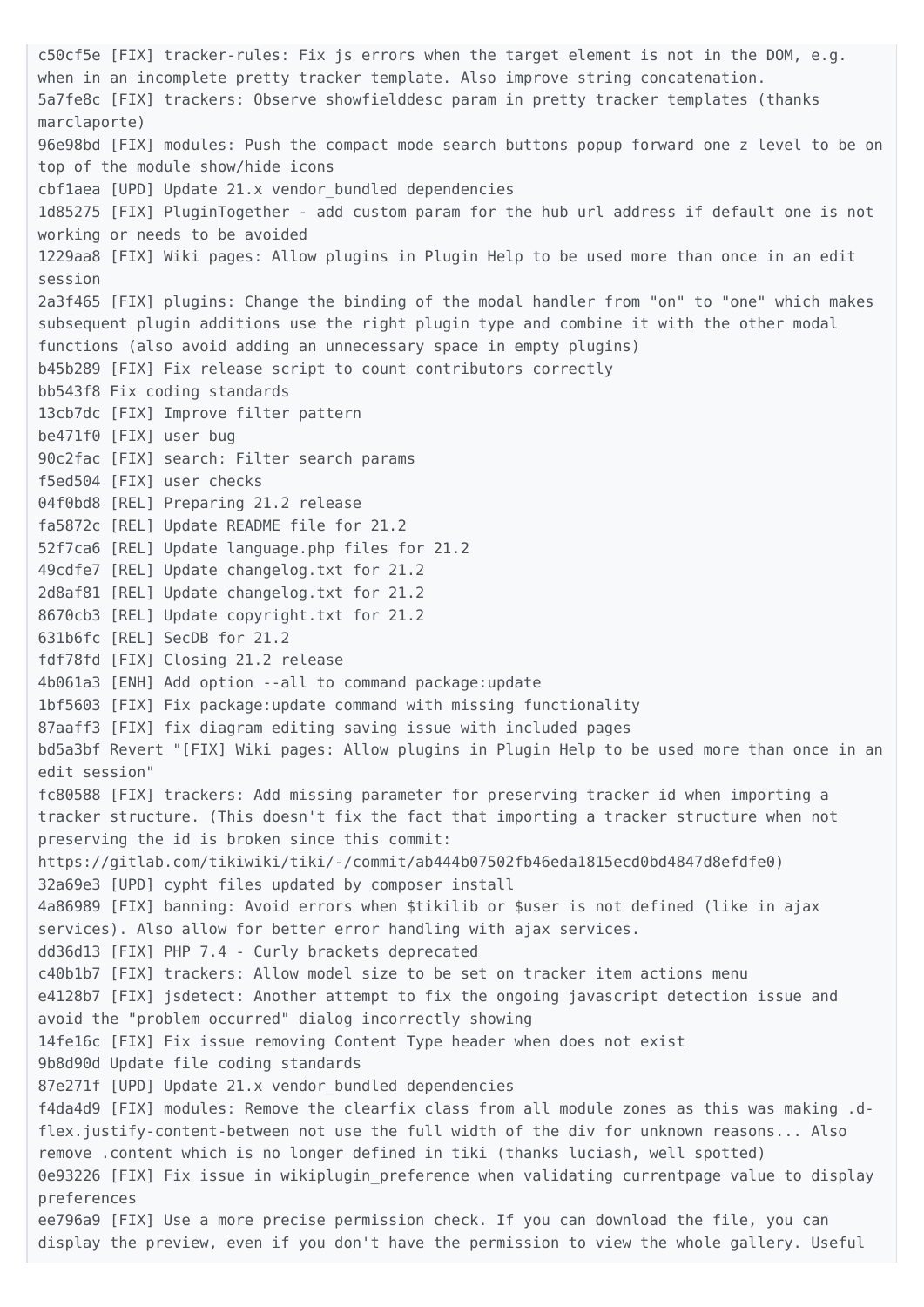c50cf5e [FIX] tracker-rules: Fix js errors when the target element is not in the DOM, e.g. when in an incomplete pretty tracker template. Also improve string concatenation. 5a7fe8c [FIX] trackers: Observe showfielddesc param in pretty tracker templates (thanks marclaporte) 96e98bd [FIX] modules: Push the compact mode search buttons popup forward one z level to be on top of the module show/hide icons cbf1aea [UPD] Update 21.x vendor\_bundled dependencies 1d85275 [FIX] PluginTogether - add custom param for the hub url address if default one is not working or needs to be avoided 1229aa8 [FIX] Wiki pages: Allow plugins in Plugin Help to be used more than once in an edit session 2a3f465 [FIX] plugins: Change the binding of the modal handler from "on" to "one" which makes subsequent plugin additions use the right plugin type and combine it with the other modal functions (also avoid adding an unnecessary space in empty plugins) b45b289 [FIX] Fix release script to count contributors correctly bb543f8 Fix coding standards 13cb7dc [FIX] Improve filter pattern be471f0 [FIX] user bug 90c2fac [FIX] search: Filter search params f5ed504 [FIX] user checks 04f0bd8 [REL] Preparing 21.2 release fa5872c [REL] Update README file for 21.2 52f7ca6 [REL] Update language.php files for 21.2 49cdfe7 [REL] Update changelog.txt for 21.2 2d8af81 [REL] Update changelog.txt for 21.2 8670cb3 [REL] Update copyright.txt for 21.2 631b6fc [REL] SecDB for 21.2 fdf78fd [FIX] Closing 21.2 release 4b061a3 [ENH] Add option --all to command package:update 1bf5603 [FIX] Fix package:update command with missing functionality 87aaff3 [FIX] fix diagram editing saving issue with included pages bd5a3bf Revert "[FIX] Wiki pages: Allow plugins in Plugin Help to be used more than once in an edit session" fc80588 [FIX] trackers: Add missing parameter for preserving tracker id when importing a tracker structure. (This doesn't fix the fact that importing a tracker structure when not preserving the id is broken since this commit: https://gitlab.com/tikiwiki/tiki/-/commit/ab444b07502fb46eda1815ecd0bd4847d8efdfe0) 32a69e3 [UPD] cypht files updated by composer install 4a86989 [FIX] banning: Avoid errors when \$tikilib or \$user is not defined (like in ajax services). Also allow for better error handling with ajax services. dd36d13 [FIX] PHP 7.4 - Curly brackets deprecated c40b1b7 [FIX] trackers: Allow model size to be set on tracker item actions menu e4128b7 [FIX] jsdetect: Another attempt to fix the ongoing javascript detection issue and avoid the "problem occurred" dialog incorrectly showing 14fe16c [FIX] Fix issue removing Content Type header when does not exist 9b8d90d Update file coding standards 87e271f [UPD] Update 21.x vendor bundled dependencies f4da4d9 [FIX] modules: Remove the clearfix class from all module zones as this was making .dflex.justify-content-between not use the full width of the div for unknown reasons... Also remove .content which is no longer defined in tiki (thanks luciash, well spotted) 0e93226 [FIX] Fix issue in wikiplugin preference when validating currentpage value to display preferences ee796a9 [FIX] Use a more precise permission check. If you can download the file, you can display the preview, even if you don't have the permission to view the whole gallery. Useful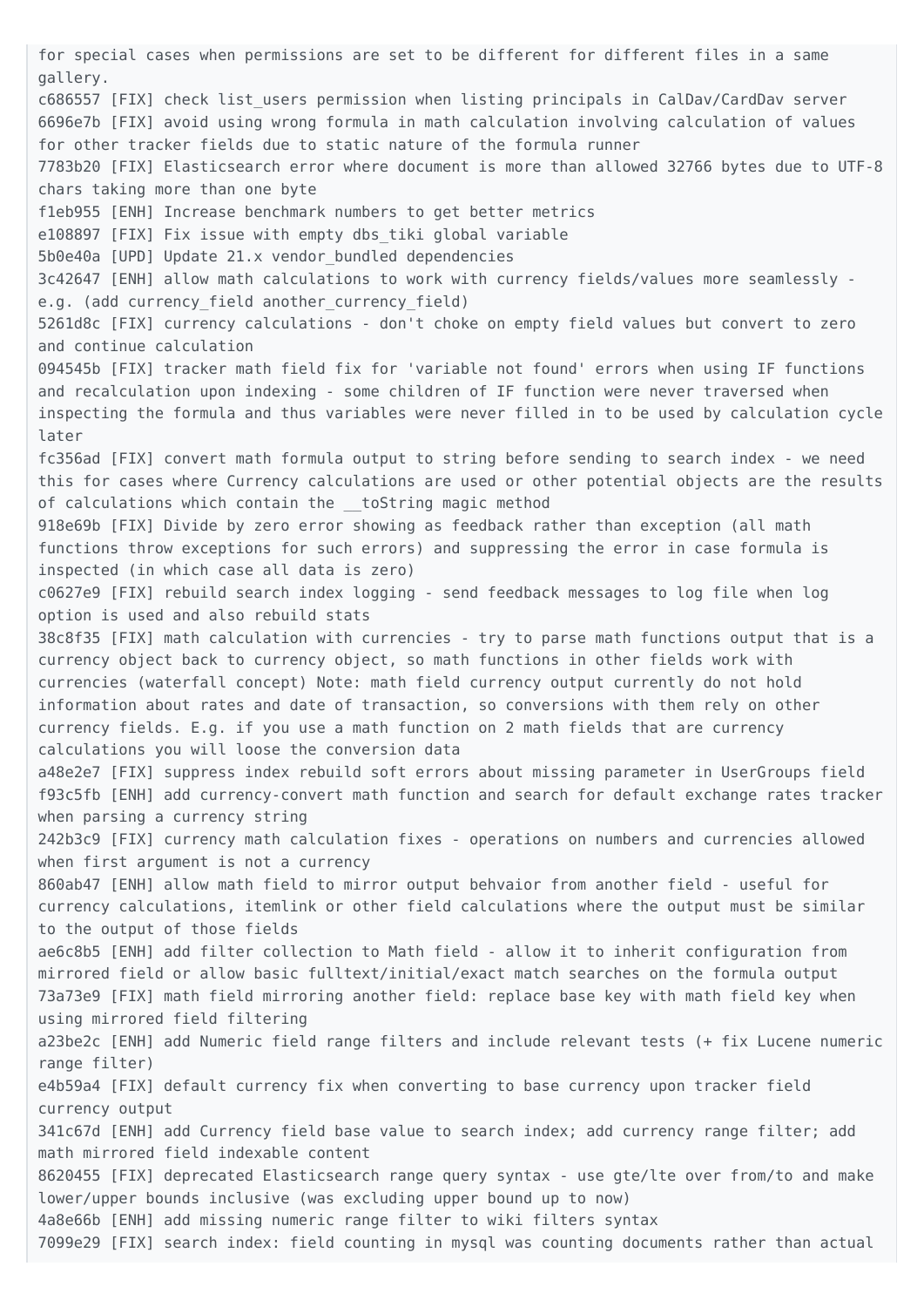for special cases when permissions are set to be different for different files in a same gallery. c686557 [FIX] check list\_users permission when listing principals in CalDav/CardDav server 6696e7b [FIX] avoid using wrong formula in math calculation involving calculation of values for other tracker fields due to static nature of the formula runner 7783b20 [FIX] Elasticsearch error where document is more than allowed 32766 bytes due to UTF-8 chars taking more than one byte f1eb955 [ENH] Increase benchmark numbers to get better metrics e108897 [FIX] Fix issue with empty dbs\_tiki global variable 5b0e40a [UPD] Update 21.x vendor\_bundled dependencies 3c42647 [ENH] allow math calculations to work with currency fields/values more seamlessly e.g. (add currency\_field another\_currency\_field) 5261d8c [FIX] currency calculations - don't choke on empty field values but convert to zero and continue calculation 094545b [FIX] tracker math field fix for 'variable not found' errors when using IF functions and recalculation upon indexing - some children of IF function were never traversed when inspecting the formula and thus variables were never filled in to be used by calculation cycle later fc356ad [FIX] convert math formula output to string before sending to search index - we need this for cases where Currency calculations are used or other potential objects are the results of calculations which contain the toString magic method 918e69b [FIX] Divide by zero error showing as feedback rather than exception (all math functions throw exceptions for such errors) and suppressing the error in case formula is inspected (in which case all data is zero) c0627e9 [FIX] rebuild search index logging - send feedback messages to log file when log option is used and also rebuild stats 38c8f35 [FIX] math calculation with currencies - try to parse math functions output that is a currency object back to currency object, so math functions in other fields work with currencies (waterfall concept) Note: math field currency output currently do not hold information about rates and date of transaction, so conversions with them rely on other currency fields. E.g. if you use a math function on 2 math fields that are currency calculations you will loose the conversion data a48e2e7 [FIX] suppress index rebuild soft errors about missing parameter in UserGroups field f93c5fb [ENH] add currency-convert math function and search for default exchange rates tracker when parsing a currency string 242b3c9 [FIX] currency math calculation fixes - operations on numbers and currencies allowed when first argument is not a currency 860ab47 [ENH] allow math field to mirror output behvaior from another field - useful for currency calculations, itemlink or other field calculations where the output must be similar to the output of those fields ae6c8b5 [ENH] add filter collection to Math field - allow it to inherit configuration from mirrored field or allow basic fulltext/initial/exact match searches on the formula output 73a73e9 [FIX] math field mirroring another field: replace base key with math field key when using mirrored field filtering a23be2c [ENH] add Numeric field range filters and include relevant tests (+ fix Lucene numeric range filter) e4b59a4 [FIX] default currency fix when converting to base currency upon tracker field currency output 341c67d [ENH] add Currency field base value to search index; add currency range filter; add math mirrored field indexable content 8620455 [FIX] deprecated Elasticsearch range query syntax - use gte/lte over from/to and make lower/upper bounds inclusive (was excluding upper bound up to now) 4a8e66b [ENH] add missing numeric range filter to wiki filters syntax 7099e29 [FIX] search index: field counting in mysql was counting documents rather than actual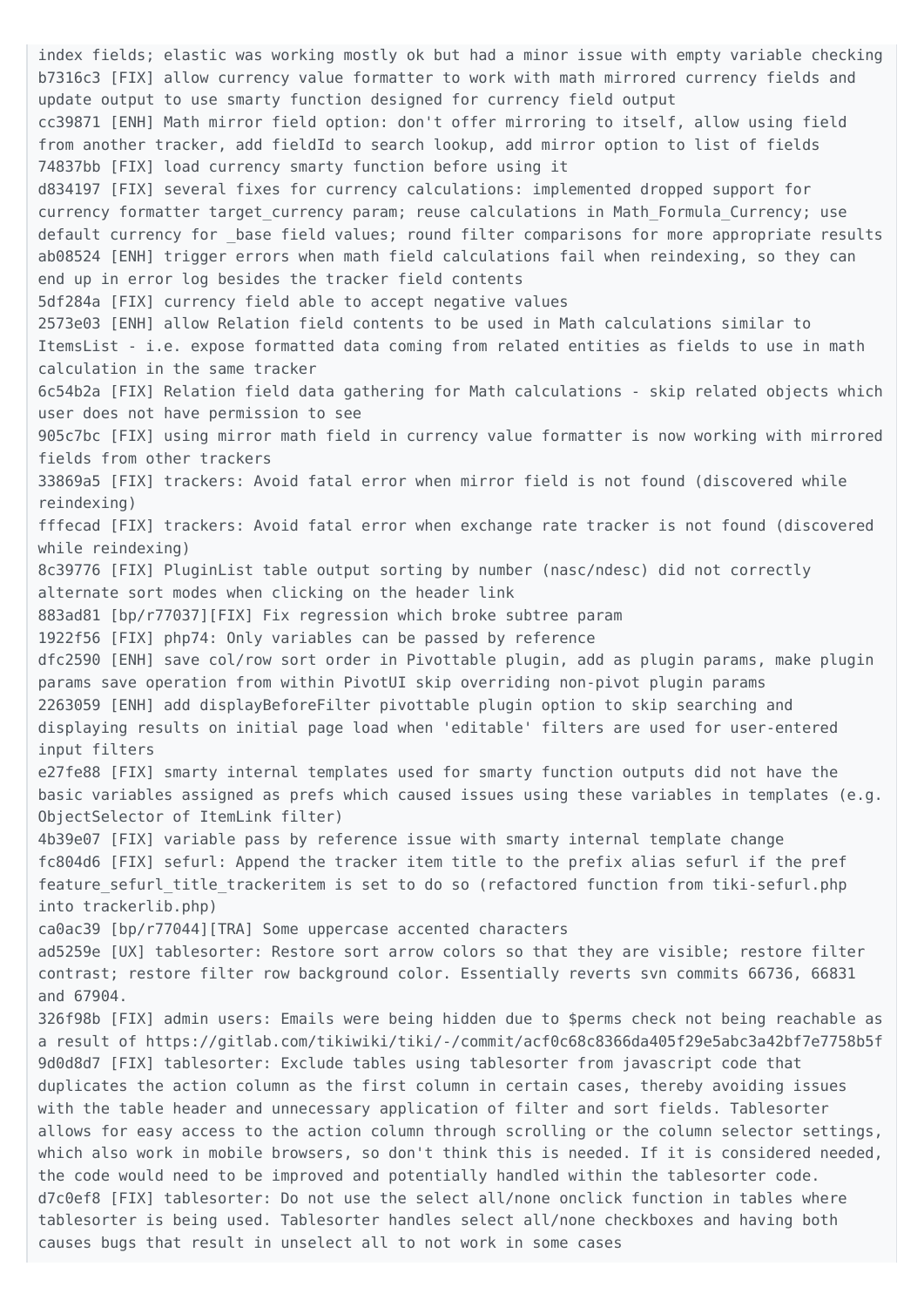index fields; elastic was working mostly ok but had a minor issue with empty variable checking b7316c3 [FIX] allow currency value formatter to work with math mirrored currency fields and update output to use smarty function designed for currency field output cc39871 [ENH] Math mirror field option: don't offer mirroring to itself, allow using field from another tracker, add fieldId to search lookup, add mirror option to list of fields 74837bb [FIX] load currency smarty function before using it d834197 [FIX] several fixes for currency calculations: implemented dropped support for currency formatter target currency param; reuse calculations in Math Formula Currency; use default currency for base field values; round filter comparisons for more appropriate results ab08524 [ENH] trigger errors when math field calculations fail when reindexing, so they can end up in error log besides the tracker field contents 5df284a [FIX] currency field able to accept negative values 2573e03 [ENH] allow Relation field contents to be used in Math calculations similar to ItemsList - i.e. expose formatted data coming from related entities as fields to use in math calculation in the same tracker 6c54b2a [FIX] Relation field data gathering for Math calculations - skip related objects which user does not have permission to see 905c7bc [FIX] using mirror math field in currency value formatter is now working with mirrored fields from other trackers 33869a5 [FIX] trackers: Avoid fatal error when mirror field is not found (discovered while reindexing) fffecad [FIX] trackers: Avoid fatal error when exchange rate tracker is not found (discovered while reindexing) 8c39776 [FIX] PluginList table output sorting by number (nasc/ndesc) did not correctly alternate sort modes when clicking on the header link 883ad81 [bp/r77037][FIX] Fix regression which broke subtree param 1922f56 [FIX] php74: Only variables can be passed by reference dfc2590 [ENH] save col/row sort order in Pivottable plugin, add as plugin params, make plugin params save operation from within PivotUI skip overriding non-pivot plugin params 2263059 [ENH] add displayBeforeFilter pivottable plugin option to skip searching and displaying results on initial page load when 'editable' filters are used for user-entered input filters e27fe88 [FIX] smarty internal templates used for smarty function outputs did not have the basic variables assigned as prefs which caused issues using these variables in templates (e.g. ObjectSelector of ItemLink filter) 4b39e07 [FIX] variable pass by reference issue with smarty internal template change fc804d6 [FIX] sefurl: Append the tracker item title to the prefix alias sefurl if the pref feature sefurl title trackeritem is set to do so (refactored function from tiki-sefurl.php into trackerlib.php) ca0ac39 [bp/r77044][TRA] Some uppercase accented characters ad5259e [UX] tablesorter: Restore sort arrow colors so that they are visible; restore filter contrast; restore filter row background color. Essentially reverts svn commits 66736, 66831 and 67904. 326f98b [FIX] admin users: Emails were being hidden due to \$perms check not being reachable as a result of https://gitlab.com/tikiwiki/tiki/-/commit/acf0c68c8366da405f29e5abc3a42bf7e7758b5f 9d0d8d7 [FIX] tablesorter: Exclude tables using tablesorter from javascript code that duplicates the action column as the first column in certain cases, thereby avoiding issues with the table header and unnecessary application of filter and sort fields. Tablesorter allows for easy access to the action column through scrolling or the column selector settings, which also work in mobile browsers, so don't think this is needed. If it is considered needed, the code would need to be improved and potentially handled within the tablesorter code. d7c0ef8 [FIX] tablesorter: Do not use the select all/none onclick function in tables where tablesorter is being used. Tablesorter handles select all/none checkboxes and having both causes bugs that result in unselect all to not work in some cases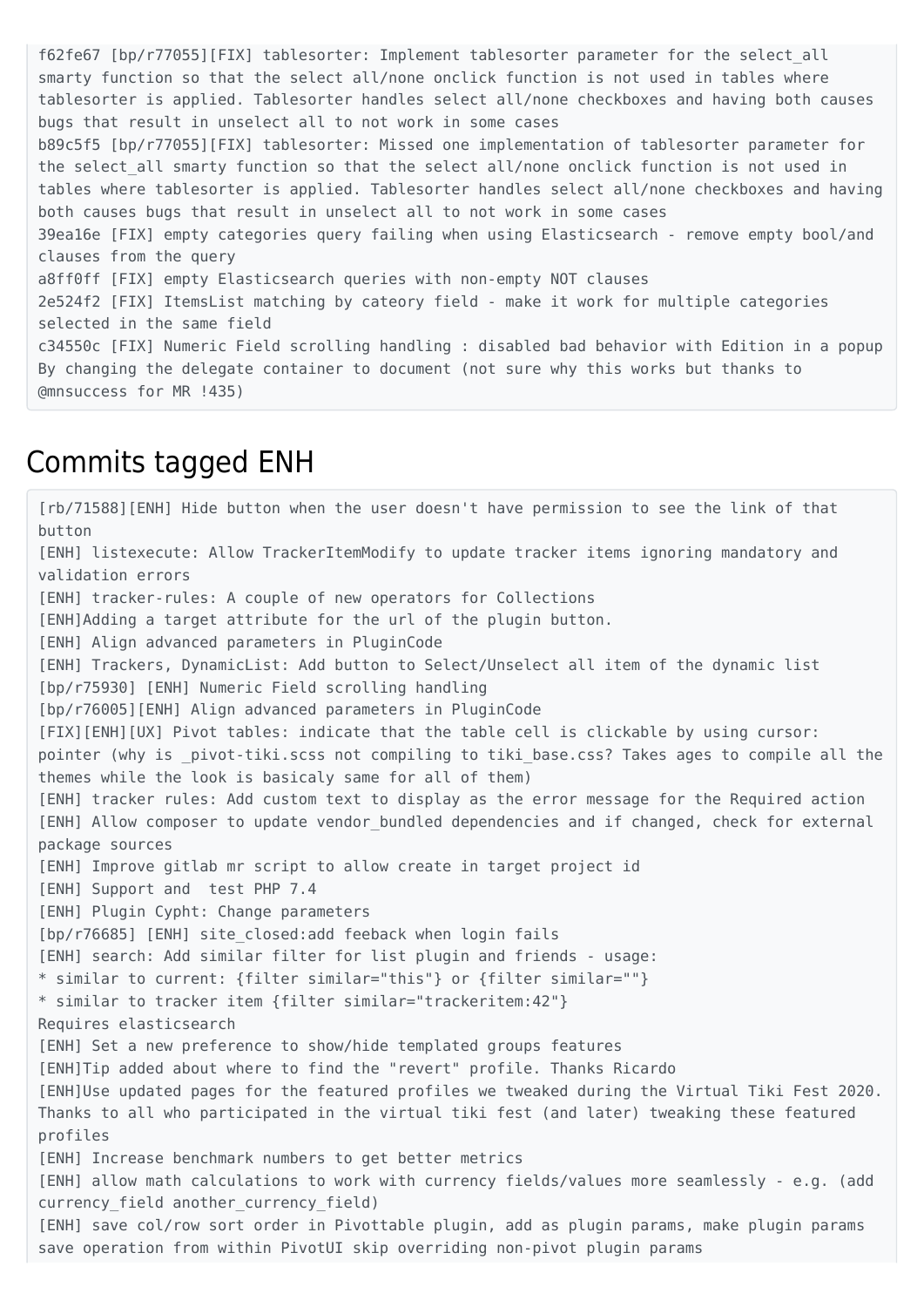f62fe67 [bp/r77055][FIX] tablesorter: Implement tablesorter parameter for the select\_all smarty function so that the select all/none onclick function is not used in tables where tablesorter is applied. Tablesorter handles select all/none checkboxes and having both causes bugs that result in unselect all to not work in some cases b89c5f5 [bp/r77055][FIX] tablesorter: Missed one implementation of tablesorter parameter for the select all smarty function so that the select all/none onclick function is not used in tables where tablesorter is applied. Tablesorter handles select all/none checkboxes and having both causes bugs that result in unselect all to not work in some cases 39ea16e [FIX] empty categories query failing when using Elasticsearch - remove empty bool/and clauses from the query a8ff0ff [FIX] empty Elasticsearch queries with non-empty NOT clauses 2e524f2 [FIX] ItemsList matching by cateory field - make it work for multiple categories selected in the same field c34550c [FIX] Numeric Field scrolling handling : disabled bad behavior with Edition in a popup By changing the delegate container to document (not sure why this works but thanks to @mnsuccess for MR !435)

#### Commits tagged ENH

[rb/71588][ENH] Hide button when the user doesn't have permission to see the link of that button [ENH] listexecute: Allow TrackerItemModify to update tracker items ignoring mandatory and validation errors [ENH] tracker-rules: A couple of new operators for Collections [ENH]Adding a target attribute for the url of the plugin button. [ENH] Align advanced parameters in PluginCode [ENH] Trackers, DynamicList: Add button to Select/Unselect all item of the dynamic list [bp/r75930] [ENH] Numeric Field scrolling handling [bp/r76005][ENH] Align advanced parameters in PluginCode [FIX][ENH][UX] Pivot tables: indicate that the table cell is clickable by using cursor: pointer (why is \_pivot-tiki.scss not compiling to tiki base.css? Takes ages to compile all the themes while the look is basicaly same for all of them) [ENH] tracker rules: Add custom text to display as the error message for the Required action [ENH] Allow composer to update vendor bundled dependencies and if changed, check for external package sources [ENH] Improve gitlab mr script to allow create in target project id [ENH] Support and test PHP 7.4 [ENH] Plugin Cypht: Change parameters [bp/r76685] [ENH] site closed:add feeback when login fails [ENH] search: Add similar filter for list plugin and friends - usage: \* similar to current: {filter similar="this"} or {filter similar=""} \* similar to tracker item {filter similar="trackeritem:42"} Requires elasticsearch [ENH] Set a new preference to show/hide templated groups features [ENH]Tip added about where to find the "revert" profile. Thanks Ricardo [ENH]Use updated pages for the featured profiles we tweaked during the Virtual Tiki Fest 2020. Thanks to all who participated in the virtual tiki fest (and later) tweaking these featured profiles [ENH] Increase benchmark numbers to get better metrics [ENH] allow math calculations to work with currency fields/values more seamlessly - e.g. (add currency field another currency field) [ENH] save col/row sort order in Pivottable plugin, add as plugin params, make plugin params save operation from within PivotUI skip overriding non-pivot plugin params